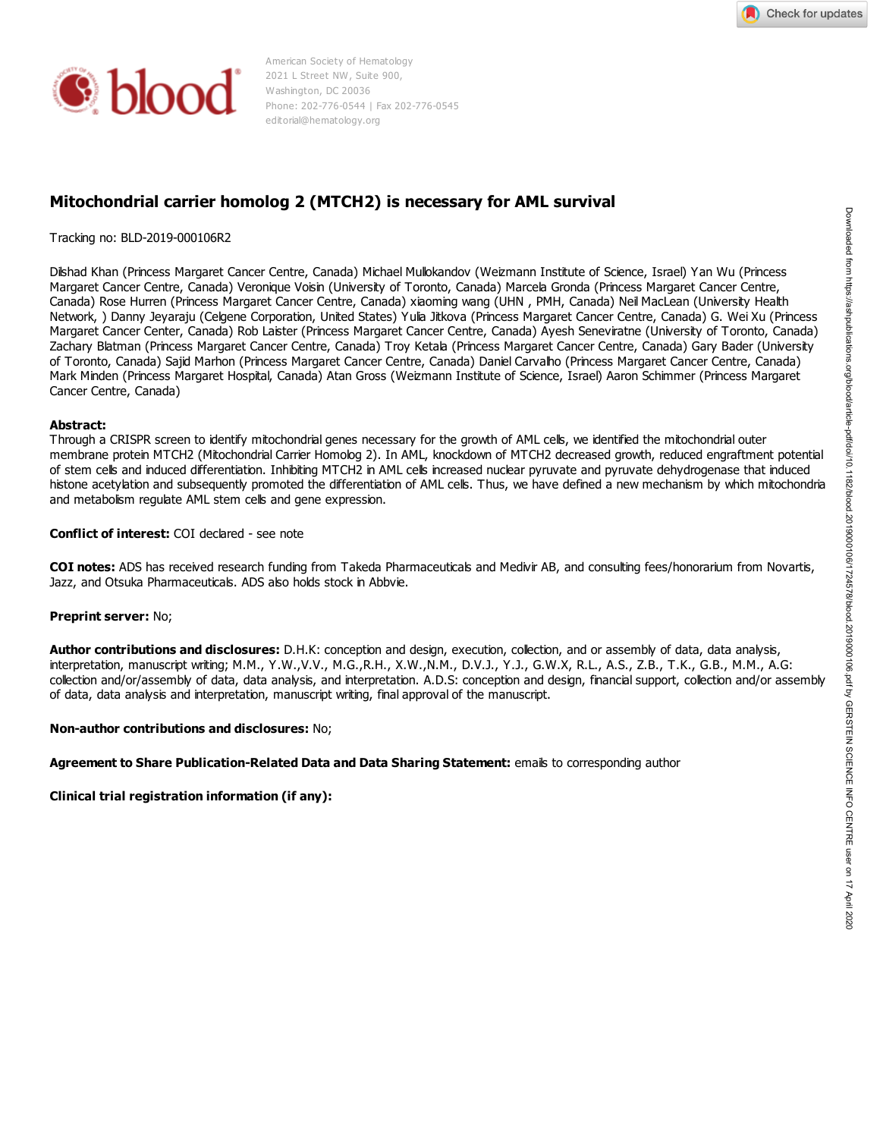



American Society of Hematology 2021 L Street NW, Suite 900, Washington, DC 20036 Phone: 202-776-0544 | Fax 202-776-0545 editorial@hematology.org

# **Mitochondrial carrier homolog 2 (MTCH2) is necessary for AML survival**

#### Tracking no: BLD-2019-000106R2

Dilshad Khan (Princess Margaret Cancer Centre, Canada) Michael Mullokandov (Weizmann Institute of Science, Israel) Yan Wu (Princess Margaret Cancer Centre, Canada) Veronique Voisin (University of Toronto, Canada) Marcela Gronda (Princess Margaret Cancer Centre, Canada) Rose Hurren (Princess Margaret Cancer Centre, Canada) xiaoming wang (UHN , PMH, Canada) Neil MacLean (University Health Network, ) Danny Jeyaraju (Celgene Corporation, United States) Yulia Jitkova (Princess Margaret Cancer Centre, Canada) G. Wei Xu (Princess Margaret Cancer Center, Canada) Rob Laister (Princess Margaret Cancer Centre, Canada) Ayesh Seneviratne (University of Toronto, Canada) Zachary Blatman (Princess Margaret Cancer Centre, Canada) Troy Ketala (Princess Margaret Cancer Centre, Canada) Gary Bader (University of Toronto, Canada) Sajid Marhon (Princess Margaret Cancer Centre, Canada) Daniel Carvalho (Princess Margaret Cancer Centre, Canada) Mark Minden (Princess Margaret Hospital, Canada) Atan Gross (Weizmann Institute of Science, Israel) Aaron Schimmer (Princess Margaret Cancer Centre, Canada) Tradition on 8.0-2019-00010682<br>
Débud Khan (Phoess Magnet Calcier Centre, Canada) Michael Makhardov (Welmann Traditus of Science, Tates) Yan Wu (Phoess<br>
Canada Rose Humer (Phoess Magnet Calcier Centre, Canada) Michael Makh

#### **Abstract:**

Through a CRISPR screen to identify mitochondrial genes necessary for the growth of AML cells, we identified the mitochondrial outer membrane protein MTCH2 (Mitochondrial Carrier Homolog 2). In AML, knockdown of MTCH2 decreased growth, reduced engraftment potential of stem cells and induced differentiation. Inhibiting MTCH2 in AML cells increased nuclear pyruvate and pyruvate dehydrogenase that induced histone acetylation and subsequently promoted the differentiation of AML cells. Thus, we have defined a new mechanism by which mitochondria and metabolism regulate AML stem cells and gene expression.

#### **Conflict of interest:** COI declared - see note

**COI notes:** ADS has received research funding from Takeda Pharmaceuticals and Medivir AB, and consulting fees/honorarium from Novartis, Jazz, and Otsuka Pharmaceuticals. ADS also holds stock in Abbvie.

#### **Preprint server:** No;

**Author contributions and disclosures:** D.H.K: conception and design, execution, collection, and or assembly of data, data analysis, interpretation, manuscript writing; M.M., Y.W.,V.V., M.G.,R.H., X.W.,N.M., D.V.J., Y.J., G.W.X, R.L., A.S., Z.B., T.K., G.B., M.M., A.G: collection and/or/assembly of data, data analysis, and interpretation. A.D.S: conception and design, financial support, collection and/or assembly of data, data analysis and interpretation, manuscript writing, final approval of the manuscript.

#### **Non-author contributions and disclosures:** No;

**Agreement to Share Publication-Related Data and Data Sharing Statement:** emails to corresponding author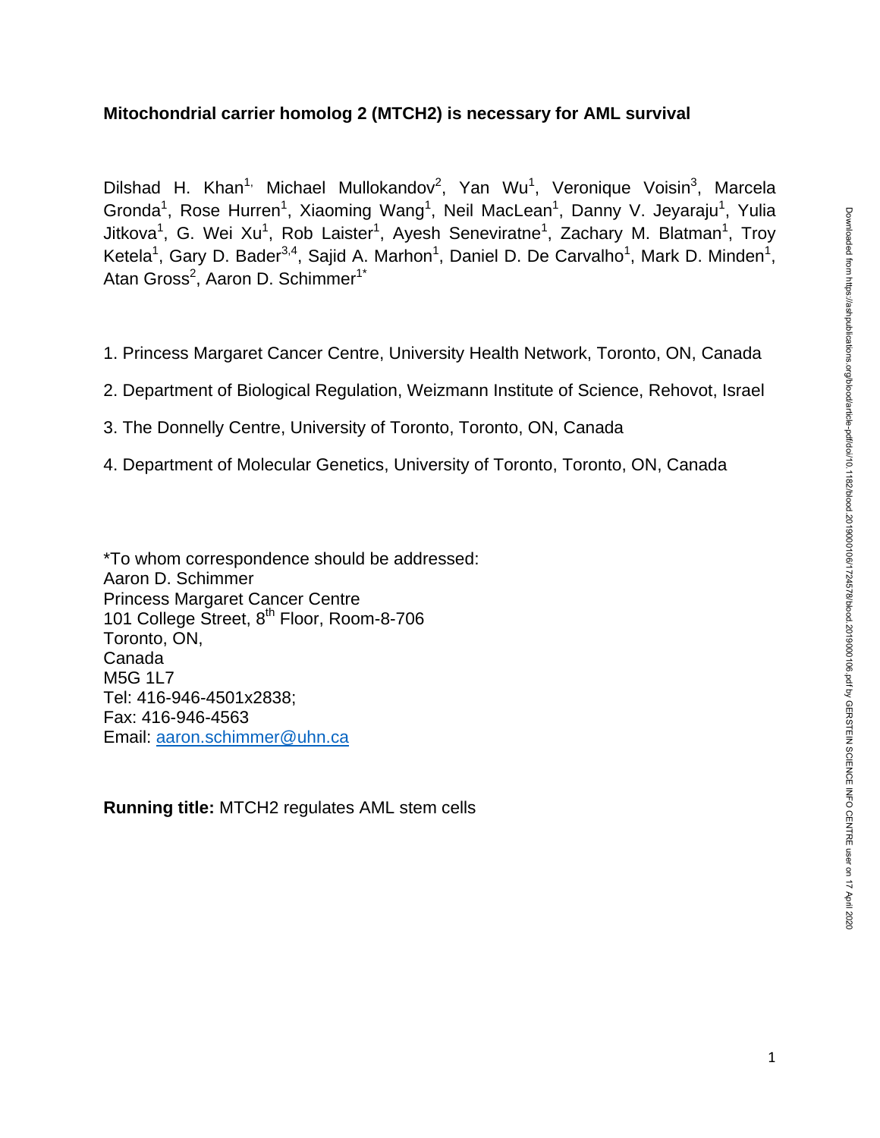# **Mitochondrial carrier homolog 2 (MTCH2) is necessary for AML survival**

Dilshad H. Khan<sup>1,</sup> Michael Mullokandov<sup>2</sup>, Yan Wu<sup>1</sup>, Veronique Voisin<sup>3</sup>, Marcela Gronda<sup>1</sup>, Rose Hurren<sup>1</sup>, Xiaoming Wang<sup>1</sup>, Neil MacLean<sup>1</sup>, Danny V. Jeyaraju<sup>1</sup>, Yulia Jitkova<sup>1</sup>, G. Wei Xu<sup>1</sup>, Rob Laister<sup>1</sup>, Ayesh Seneviratne<sup>1</sup>, Zachary M. Blatman<sup>1</sup>, Troy Ketela<sup>1</sup>, Gary D. Bader<sup>3,4</sup>, Sajid A. Marhon<sup>1</sup>, Daniel D. De Carvalho<sup>1</sup>, Mark D. Minden<sup>1</sup>, Atan Gross<sup>2</sup>, Aaron D. Schimmer<sup>1\*</sup>

- 1. Princess Margaret Cancer Centre, University Health Network, Toronto, ON, Canada
- 2. Department of Biological Regulation, Weizmann Institute of Science, Rehovot, Israel
- 3. The Donnelly Centre, University of Toronto, Toronto, ON, Canada
- 4. Department of Molecular Genetics, University of Toronto, Toronto, ON, Canada

\*To whom correspondence should be addressed: Aaron D. Schimmer Princess Margaret Cancer Centre 101 College Street, 8<sup>th</sup> Floor, Room-8-706 Toronto, ON, Canada M5G 1L7 Tel: 416-946-4501x2838; Fax: 416-946-4563 Email: [aaron.schimmer@uhn.ca](mailto:aaron.schimmer@uhn.ca)

**Running title:** MTCH2 regulates AML stem cells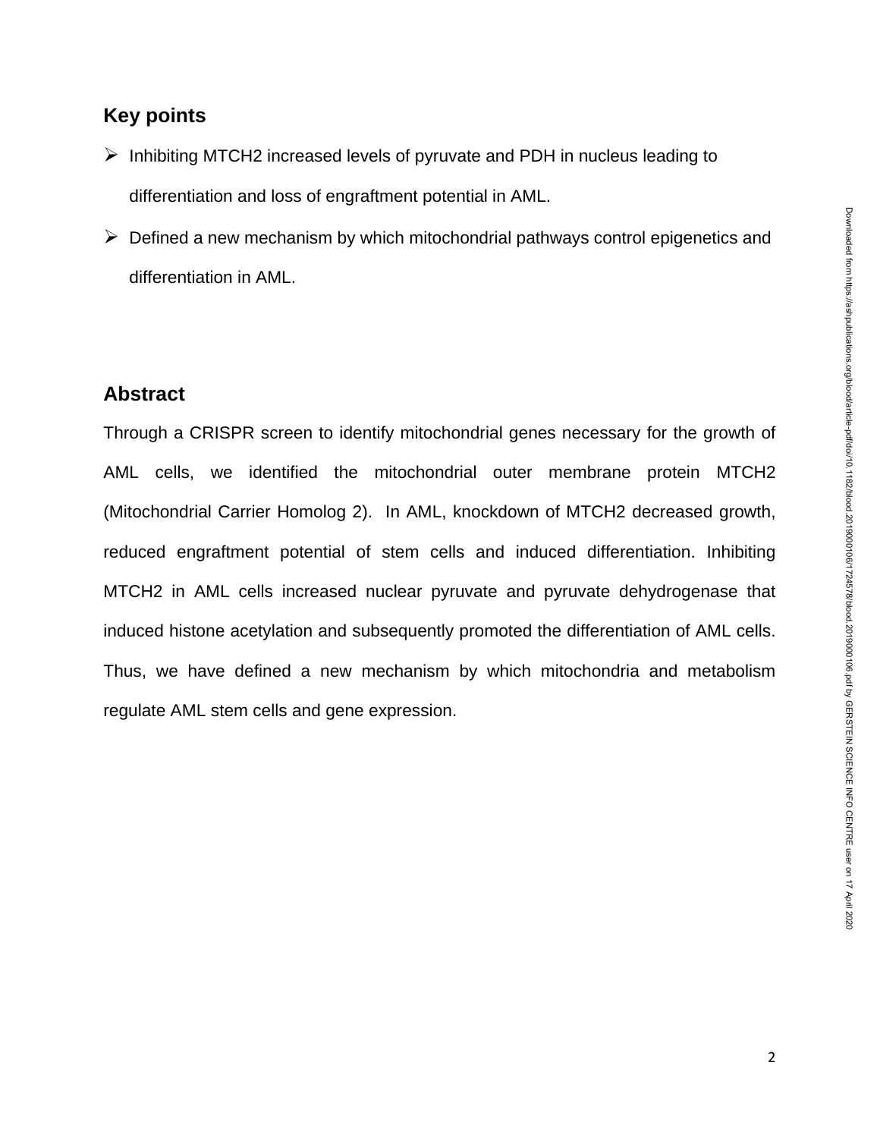# **Key points**

- $\triangleright$  Inhibiting MTCH2 increased levels of pyruvate and PDH in nucleus leading to differentiation and loss of engraftment potential in AML.
- $\triangleright$  Defined a new mechanism by which mitochondrial pathways control epigenetics and differentiation in AML.

# **Abstract**

Through a CRISPR screen to identify mitochondrial genes necessary for the growth of AML cells, we identified the mitochondrial outer membrane protein MTCH2 (Mitochondrial Carrier Homolog 2). In AML, knockdown of MTCH2 decreased growth, reduced engraftment potential of stem cells and induced differentiation. Inhibiting MTCH2 in AML cells increased nuclear pyruvate and pyruvate dehydrogenase that induced histone acetylation and subsequently promoted the differentiation of AML cells. Thus, we have defined a new mechanism by which mitochondria and metabolism regulate AML stem cells and gene expression.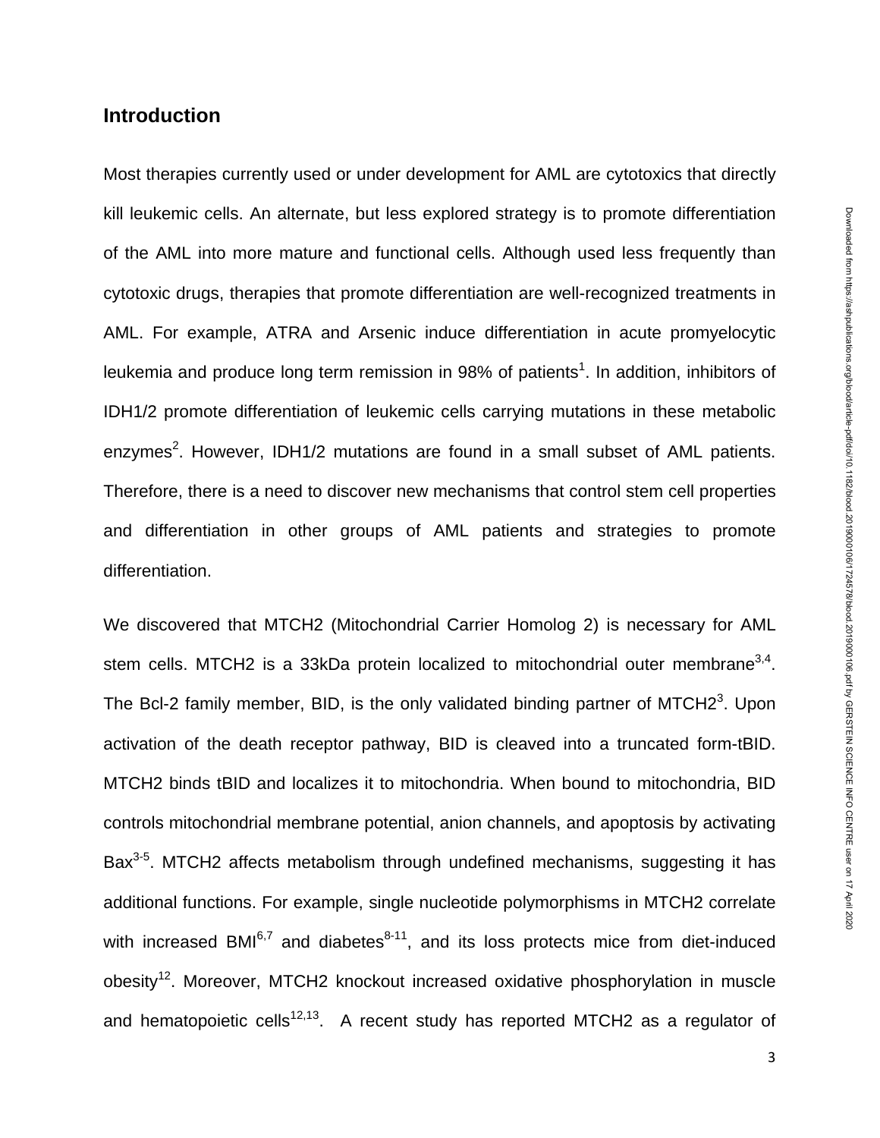# **Introduction**

Most therapies currently used or under development for AML are cytotoxics that directly kill leukemic cells. An alternate, but less explored strategy is to promote differentiation of the AML into more mature and functional cells. Although used less frequently than cytotoxic drugs, therapies that promote differentiation are well-recognized treatments in AML. For example, ATRA and Arsenic induce differentiation in acute promyelocytic leukemia and produce long term remission in 98% of patients<sup>1</sup>. In addition, inhibitors of IDH1/2 promote differentiation of leukemic cells carrying mutations in these metabolic enzymes<sup>2</sup>. However, IDH1/2 mutations are found in a small subset of AML patients. Therefore, there is a need to discover new mechanisms that control stem cell properties and differentiation in other groups of AML patients and strategies to promote differentiation.

We discovered that MTCH2 (Mitochondrial Carrier Homolog 2) is necessary for AML stem cells. MTCH2 is a 33kDa protein localized to mitochondrial outer membrane<sup>3,4</sup>. The Bcl-2 family member, BID, is the only validated binding partner of MTCH2 $3$ . Upon activation of the death receptor pathway, BID is cleaved into a truncated form-tBID. MTCH2 binds tBID and localizes it to mitochondria. When bound to mitochondria, BID controls mitochondrial membrane potential, anion channels, and apoptosis by activating Bax<sup>3-5</sup>. MTCH2 affects metabolism through undefined mechanisms, suggesting it has additional functions. For example, single nucleotide polymorphisms in MTCH2 correlate with increased BMI $^{6,7}$  and diabetes $^{8-11}$ , and its loss protects mice from diet-induced obesity<sup>12</sup>. Moreover, MTCH2 knockout increased oxidative phosphorylation in muscle and hematopoietic cells<sup>12,13</sup>. A recent study has reported MTCH2 as a regulator of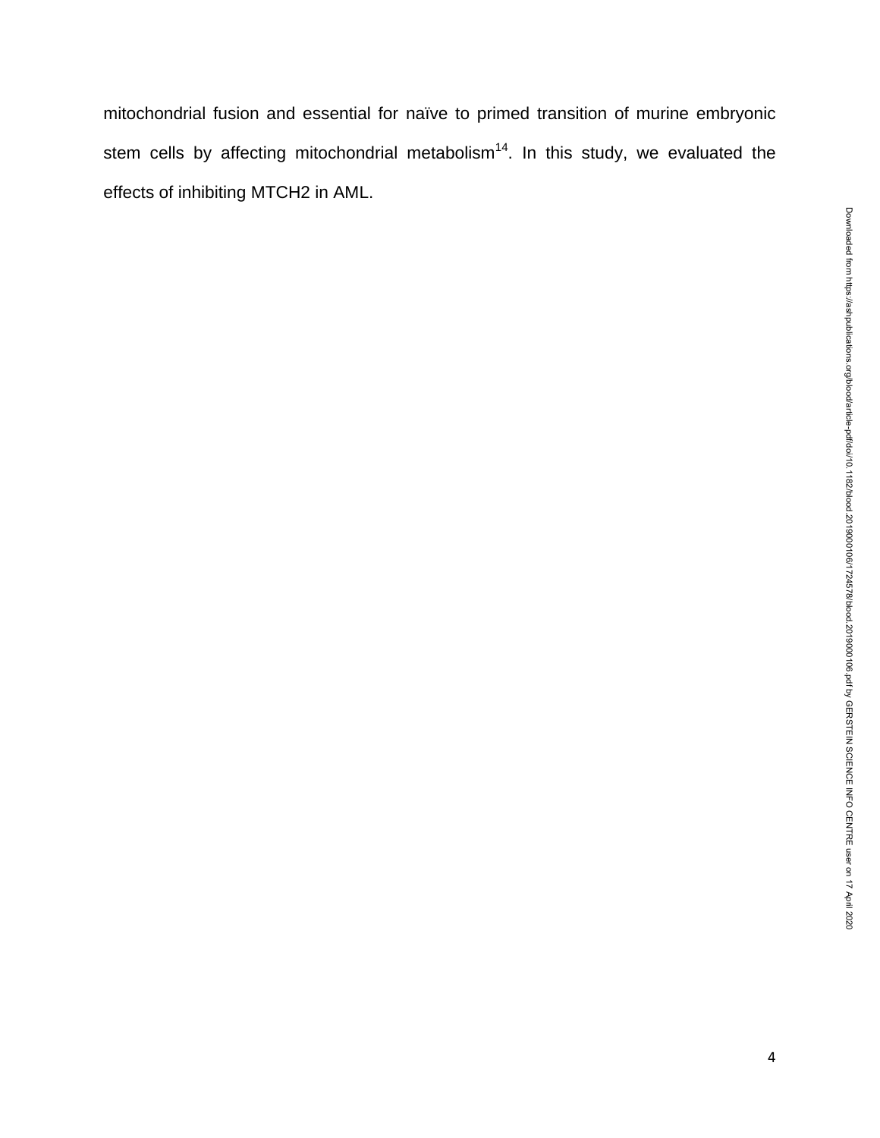mitochondrial fusion and essential for naïve to primed transition of murine embryonic stem cells by affecting mitochondrial metabolism<sup>14</sup>. In this study, we evaluated the effects of inhibiting MTCH2 in AML.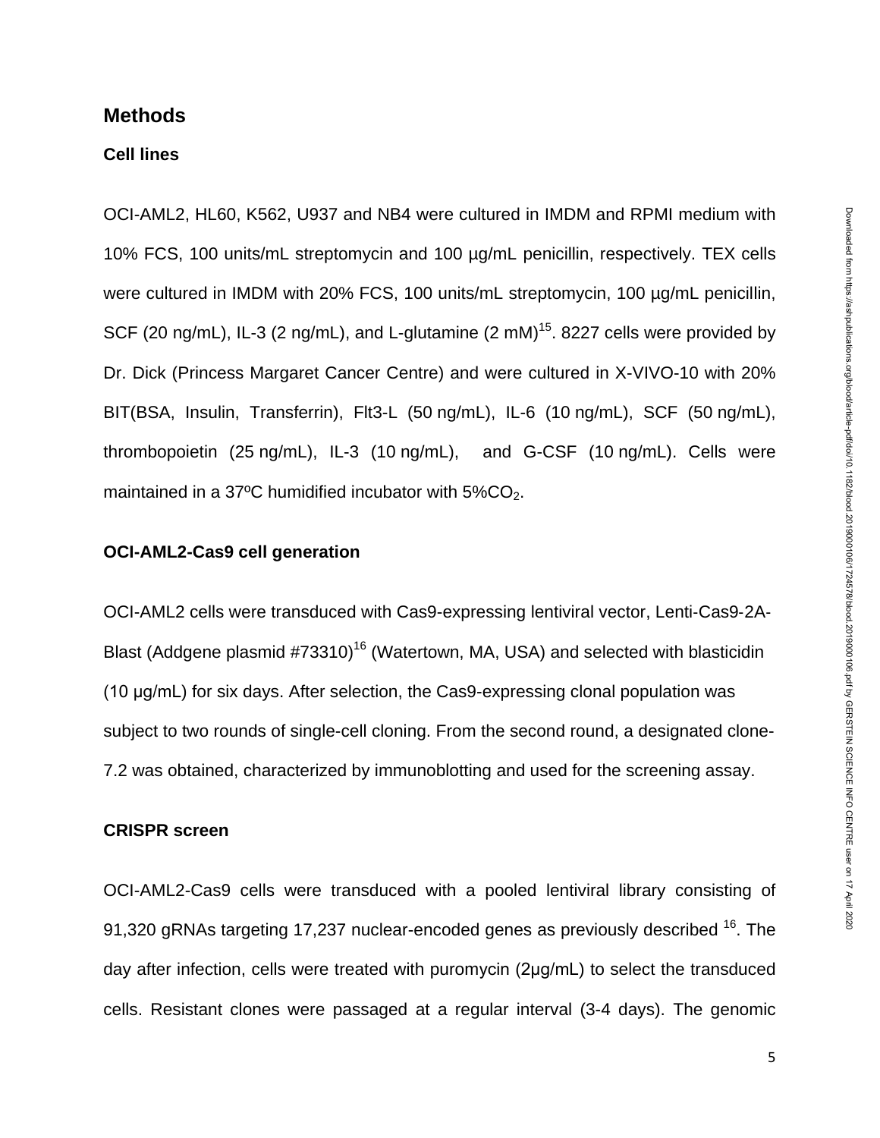## **Methods**

### **Cell lines**

OCI-AML2, HL60, K562, U937 and NB4 were cultured in IMDM and RPMI medium with 10% FCS, 100 units/mL streptomycin and 100 µg/mL penicillin, respectively. TEX cells were cultured in IMDM with 20% FCS, 100 units/mL streptomycin, 100 µg/mL penicillin, SCF (20 ng/mL), IL-3 (2 ng/mL), and L-glutamine (2 mM)<sup>15</sup>. 8227 cells were provided by Dr. Dick (Princess Margaret Cancer Centre) and were cultured in X-VIVO-10 with 20% BIT(BSA, Insulin, Transferrin), Flt3-L (50 ng/mL), IL-6 (10 ng/mL), SCF (50 ng/mL), thrombopoietin (25 ng/mL), IL-3 (10 ng/mL), and G-CSF (10 ng/mL). Cells were maintained in a 37 $\degree$ C humidified incubator with 5%CO<sub>2</sub>.

### **OCI-AML2-Cas9 cell generation**

OCI-AML2 cells were transduced with Cas9-expressing lentiviral vector, Lenti‐Cas9‐2A‐ Blast (Addgene plasmid #73310)<sup>16</sup> (Watertown, MA, USA) and selected with blasticidin (10 μg/mL) for six days. After selection, the Cas9-expressing clonal population was subject to two rounds of single-cell cloning. From the second round, a designated clone-7.2 was obtained, characterized by immunoblotting and used for the screening assay.

# **CRISPR screen**

OCI-AML2-Cas9 cells were transduced with a pooled lentiviral library consisting of 91,320 gRNAs targeting 17,237 nuclear-encoded genes as previously described  $^{16}$ . The day after infection, cells were treated with puromycin (2μg/mL) to select the transduced cells. Resistant clones were passaged at a regular interval (3-4 days). The genomic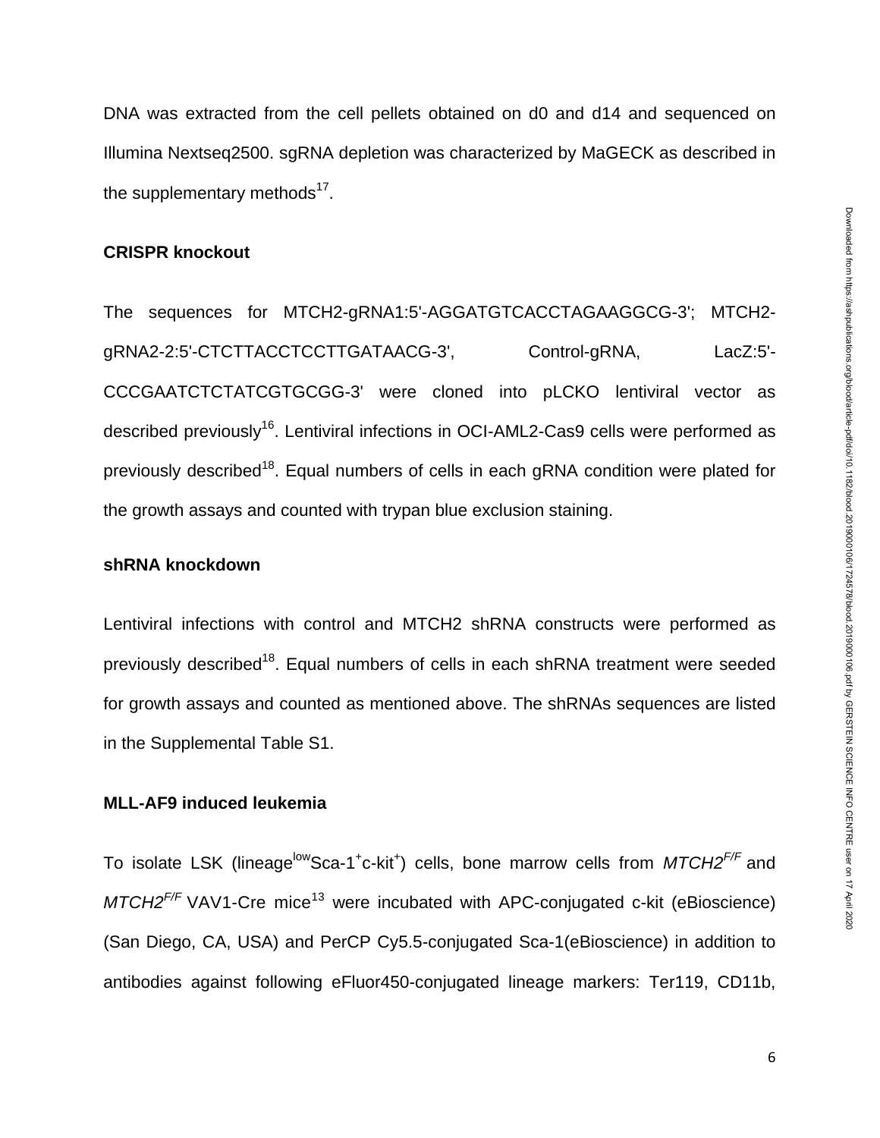DNA was extracted from the cell pellets obtained on d0 and d14 and sequenced on Illumina Nextseq2500. sgRNA depletion was characterized by MaGECK as described in the supplementary methods<sup>17</sup>.

### **CRISPR knockout**

The sequences for MTCH2-gRNA1:5'-AGGATGTCACCTAGAAGGCG-3'; MTCH2 gRNA2-2:5'-CTCTTACCTCCTTGATAACG-3', Control-gRNA, LacZ:5'- CCCGAATCTCTATCGTGCGG-3' were cloned into pLCKO lentiviral vector as described previously<sup>16</sup>. Lentiviral infections in OCI-AML2-Cas9 cells were performed as previously described<sup>18</sup>. Equal numbers of cells in each gRNA condition were plated for the growth assays and counted with trypan blue exclusion staining.

### **shRNA knockdown**

Lentiviral infections with control and MTCH2 shRNA constructs were performed as previously described<sup>18</sup>. Equal numbers of cells in each shRNA treatment were seeded for growth assays and counted as mentioned above. The shRNAs sequences are listed in the Supplemental Table S1.

### **MLL-AF9 induced leukemia**

To isolate LSK (lineage<sup>low</sup>Sca-1<sup>+</sup>c-kit<sup>+</sup>) cells, bone marrow cells from *MTCH2<sup>F/F</sup>* and  $MTCH2<sup>F/F</sup>$  VAV1-Cre mice<sup>13</sup> were incubated with APC-conjugated c-kit (eBioscience) (San Diego, CA, USA) and PerCP Cy5.5-conjugated Sca-1(eBioscience) in addition to antibodies against following eFluor450-conjugated lineage markers: Ter119, CD11b,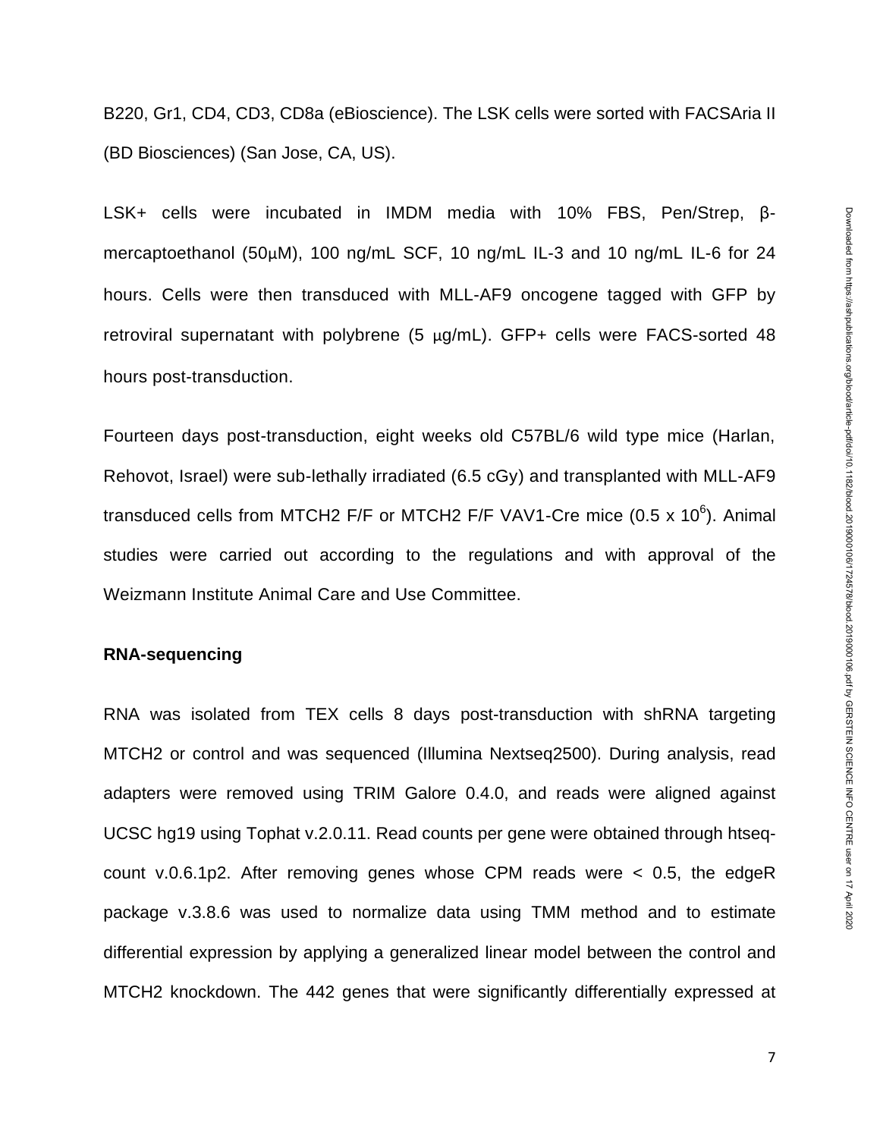B220, Gr1, CD4, CD3, CD8a (eBioscience). The LSK cells were sorted with FACSAria II (BD Biosciences) (San Jose, CA, US).

LSK+ cells were incubated in IMDM media with 10% FBS, Pen/Strep, βmercaptoethanol (50µM), 100 ng/mL SCF, 10 ng/mL IL-3 and 10 ng/mL IL-6 for 24 hours. Cells were then transduced with MLL-AF9 oncogene tagged with GFP by retroviral supernatant with polybrene (5  $\mu$ g/mL). GFP+ cells were FACS-sorted 48 hours post-transduction.

Fourteen days post-transduction, eight weeks old C57BL/6 wild type mice (Harlan, Rehovot, Israel) were sub-lethally irradiated (6.5 cGy) and transplanted with MLL-AF9 transduced cells from MTCH2 F/F or MTCH2 F/F VAV1-Cre mice (0.5 x 10 $^6$ ). Animal studies were carried out according to the regulations and with approval of the Weizmann Institute Animal Care and Use Committee.

### **RNA-sequencing**

RNA was isolated from TEX cells 8 days post-transduction with shRNA targeting MTCH2 or control and was sequenced (Illumina Nextseq2500). During analysis, read adapters were removed using TRIM Galore 0.4.0, and reads were aligned against UCSC hg19 using Tophat v.2.0.11. Read counts per gene were obtained through htseqcount v.0.6.1p2. After removing genes whose CPM reads were < 0.5, the edgeR package v.3.8.6 was used to normalize data using TMM method and to estimate differential expression by applying a generalized linear model between the control and MTCH2 knockdown. The 442 genes that were significantly differentially expressed at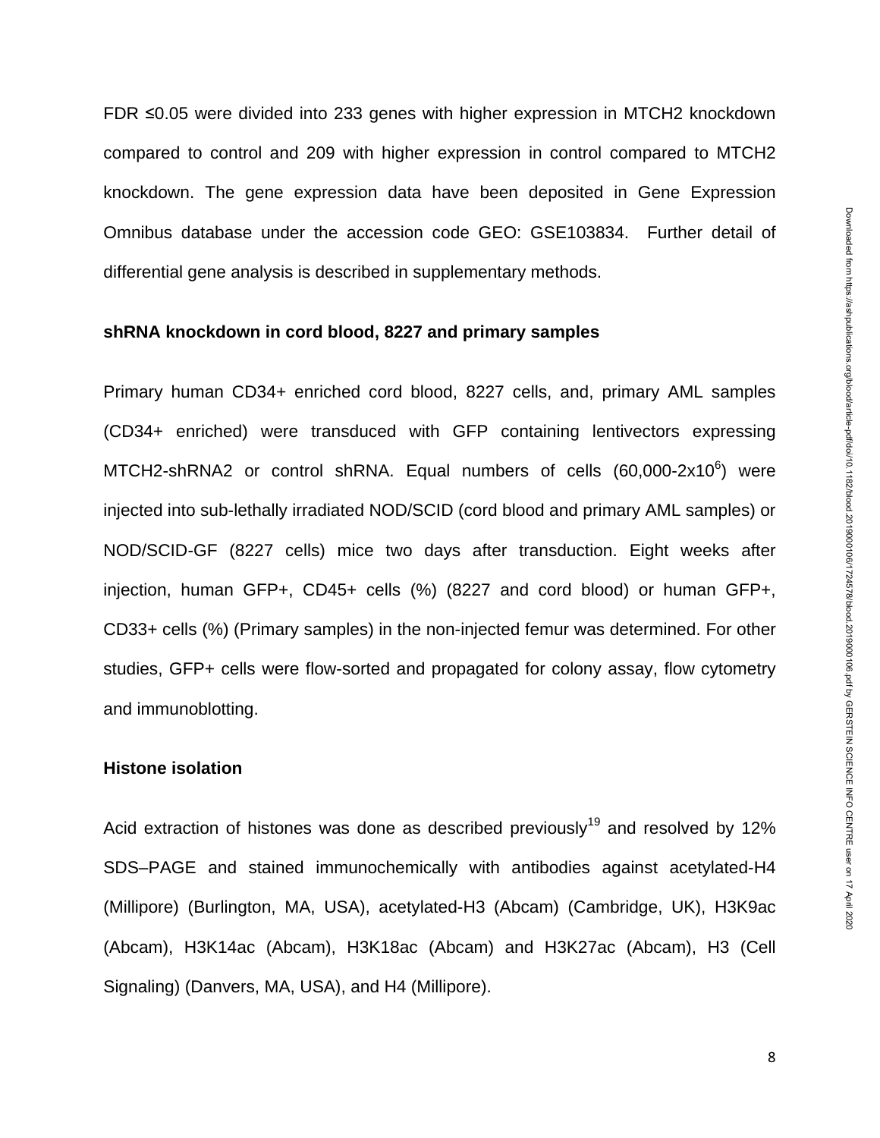FDR ≤0.05 were divided into 233 genes with higher expression in MTCH2 knockdown compared to control and 209 with higher expression in control compared to MTCH2 knockdown. The gene expression data have been deposited in Gene Expression Omnibus database under the accession code GEO: GSE103834. Further detail of differential gene analysis is described in supplementary methods.

### **shRNA knockdown in cord blood, 8227 and primary samples**

Primary human CD34+ enriched cord blood, 8227 cells, and, primary AML samples (CD34+ enriched) were transduced with GFP containing lentivectors expressing MTCH2-shRNA2 or control shRNA. Equal numbers of cells  $(60,000-2x10^6)$  were injected into sub-lethally irradiated NOD/SCID (cord blood and primary AML samples) or NOD/SCID-GF (8227 cells) mice two days after transduction. Eight weeks after injection, human GFP+, CD45+ cells (%) (8227 and cord blood) or human GFP+, CD33+ cells (%) (Primary samples) in the non-injected femur was determined. For other studies, GFP+ cells were flow-sorted and propagated for colony assay, flow cytometry and immunoblotting.

### **Histone isolation**

Acid extraction of histones was done as described previously<sup>19</sup> and resolved by 12% SDS–PAGE and stained immunochemically with antibodies against acetylated-H4 (Millipore) [\(Burlington, MA, USA](https://www.google.ca/search?q=Burlington,+Massachusetts&stick=H4sIAAAAAAAAAOPgE-LSz9U3MKoyLjMtUuIEsQ1zjXILtbSyk63084vSE_MyqxJLMvPzUDhWGamJKYWliUUlqUXFi1glnUqLcjLz0kvy83QUfBOLixOTM0qLU0tKigEHNoUTYQAAAA&sa=X&ved=2ahUKEwiZo4uV7ZjjAhVVXc0KHfu_DsEQmxMoATAUegQIDxAL)), acetylated-H3 (Abcam) (Cambridge, UK), H3K9ac (Abcam), H3K14ac (Abcam), H3K18ac (Abcam) and H3K27ac (Abcam), H3 (Cell Signaling) (Danvers, MA, USA), and H4 (Millipore).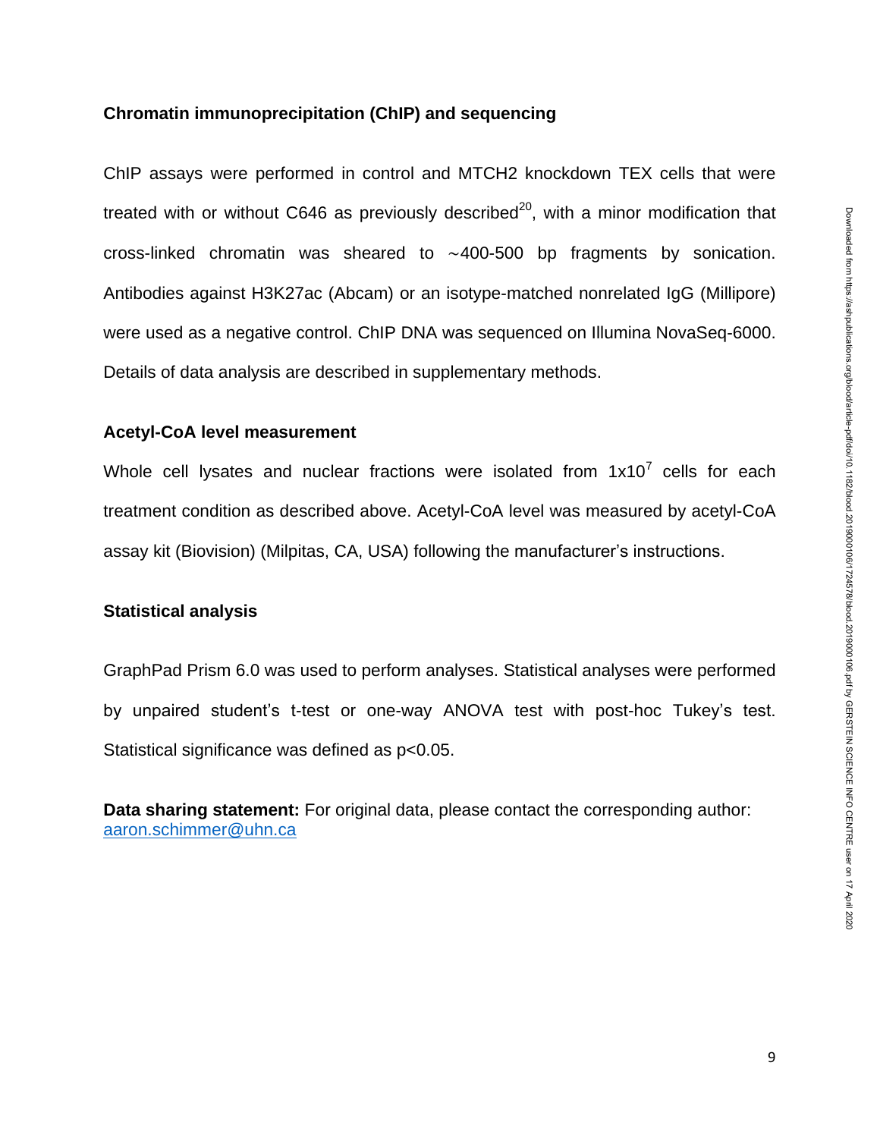## **Chromatin immunoprecipitation (ChIP) and sequencing**

ChIP assays were performed in control and MTCH2 knockdown TEX cells that were treated with or without C646 as previously described<sup>20</sup>, with a minor modification that cross-linked chromatin was sheared to ∼400-500 bp fragments by sonication. Antibodies against H3K27ac (Abcam) or an isotype-matched nonrelated IgG (Millipore) were used as a negative control. ChIP DNA was sequenced on Illumina NovaSeq-6000. Details of data analysis are described in supplementary methods.

## **Acetyl-CoA level measurement**

Whole cell lysates and nuclear fractions were isolated from  $1x10^7$  cells for each treatment condition as described above. Acetyl-CoA level was measured by acetyl-CoA assay kit (Biovision) (Milpitas, CA, USA) following the manufacturer's instructions.

# **Statistical analysis**

GraphPad Prism 6.0 was used to perform analyses. Statistical analyses were performed by unpaired student's t-test or one-way ANOVA test with post-hoc Tukey's test. Statistical significance was defined as p<0.05.

**Data sharing statement:** For original data, please contact the corresponding author: [aaron.schimmer@uhn.ca](mailto:aaron.schimmer@uhn.ca)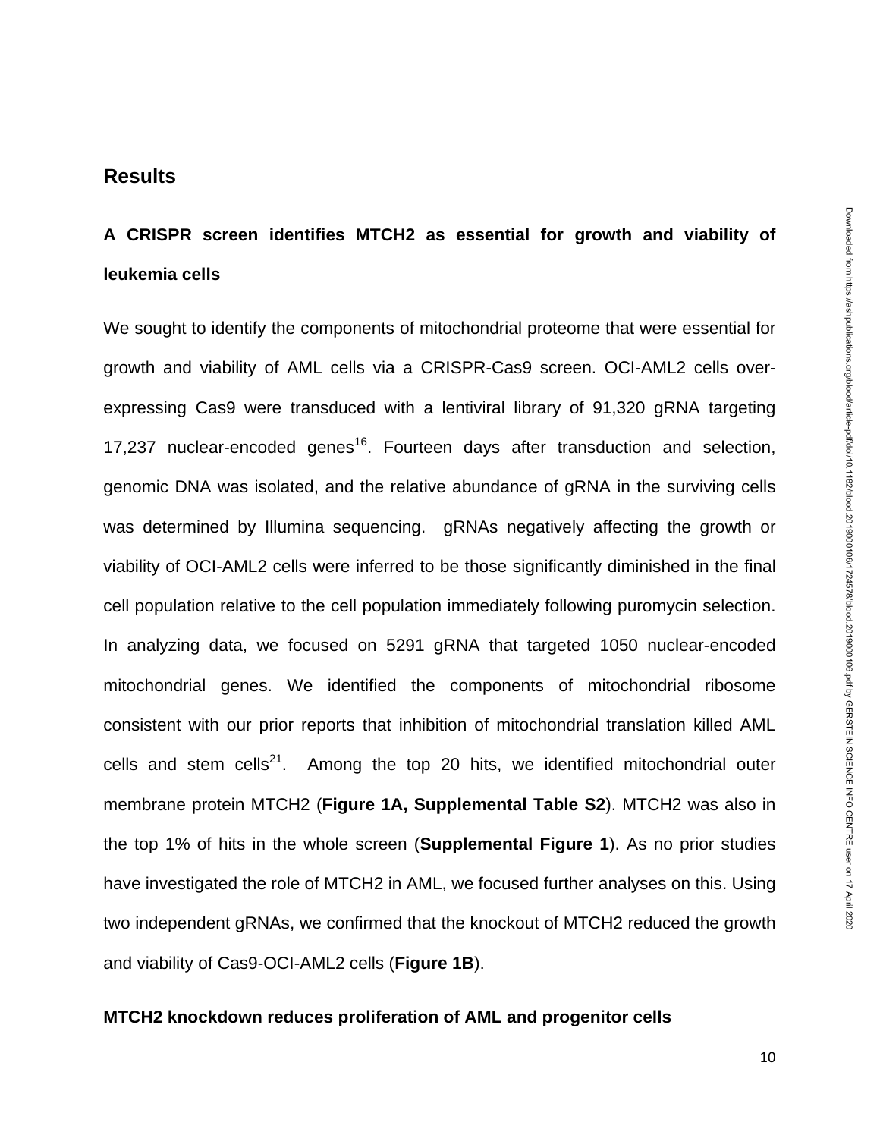# **A CRISPR screen identifies MTCH2 as essential for growth and viability of leukemia cells**

We sought to identify the components of mitochondrial proteome that were essential for growth and viability of AML cells via a CRISPR-Cas9 screen. OCI-AML2 cells overexpressing Cas9 were transduced with a lentiviral library of 91,320 gRNA targeting 17,237 nuclear-encoded genes<sup>16</sup>. Fourteen days after transduction and selection, genomic DNA was isolated, and the relative abundance of gRNA in the surviving cells was determined by Illumina sequencing. gRNAs negatively affecting the growth or viability of OCI-AML2 cells were inferred to be those significantly diminished in the final cell population relative to the cell population immediately following puromycin selection. In analyzing data, we focused on 5291 gRNA that targeted 1050 nuclear-encoded mitochondrial genes. We identified the components of mitochondrial ribosome consistent with our prior reports that inhibition of mitochondrial translation killed AML cells and stem cells<sup>21</sup>. Among the top 20 hits, we identified mitochondrial outer membrane protein MTCH2 (**Figure 1A, Supplemental Table S2**). MTCH2 was also in the top 1% of hits in the whole screen (**Supplemental Figure 1**). As no prior studies have investigated the role of MTCH2 in AML, we focused further analyses on this. Using two independent gRNAs, we confirmed that the knockout of MTCH2 reduced the growth and viability of Cas9-OCI-AML2 cells (**Figure 1B**).

## **MTCH2 knockdown reduces proliferation of AML and progenitor cells**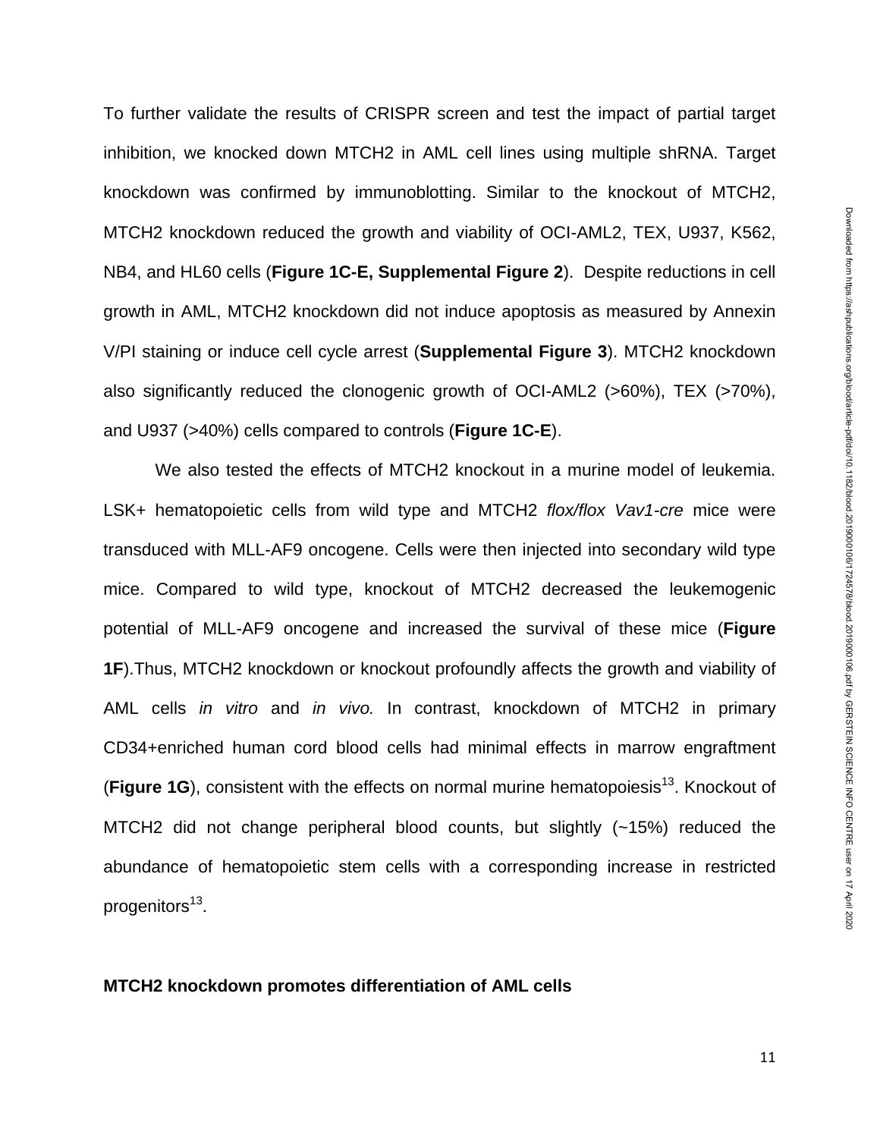To further validate the results of CRISPR screen and test the impact of partial target inhibition, we knocked down MTCH2 in AML cell lines using multiple shRNA. Target knockdown was confirmed by immunoblotting. Similar to the knockout of MTCH2, MTCH2 knockdown reduced the growth and viability of OCI-AML2, TEX, U937, K562, NB4, and HL60 cells (**Figure 1C-E, Supplemental Figure 2**). Despite reductions in cell growth in AML, MTCH2 knockdown did not induce apoptosis as measured by Annexin V/PI staining or induce cell cycle arrest (**Supplemental Figure 3**). MTCH2 knockdown also significantly reduced the clonogenic growth of OCI-AML2 (>60%), TEX (>70%), and U937 (>40%) cells compared to controls (**Figure 1C-E**).

We also tested the effects of MTCH2 knockout in a murine model of leukemia. LSK+ hematopoietic cells from wild type and MTCH2 *flox/flox Vav1-cre* mice were transduced with MLL-AF9 oncogene. Cells were then injected into secondary wild type mice. Compared to wild type, knockout of MTCH2 decreased the leukemogenic potential of MLL-AF9 oncogene and increased the survival of these mice (**Figure 1F**).Thus, MTCH2 knockdown or knockout profoundly affects the growth and viability of AML cells *in vitro* and *in vivo.* In contrast, knockdown of MTCH2 in primary CD34+enriched human cord blood cells had minimal effects in marrow engraftment (Figure 1G), consistent with the effects on normal murine hematopoiesis<sup>13</sup>. Knockout of MTCH2 did not change peripheral blood counts, but slightly (~15%) reduced the abundance of hematopoietic stem cells with a corresponding increase in restricted progenitors<sup>13</sup>.

### **MTCH2 knockdown promotes differentiation of AML cells**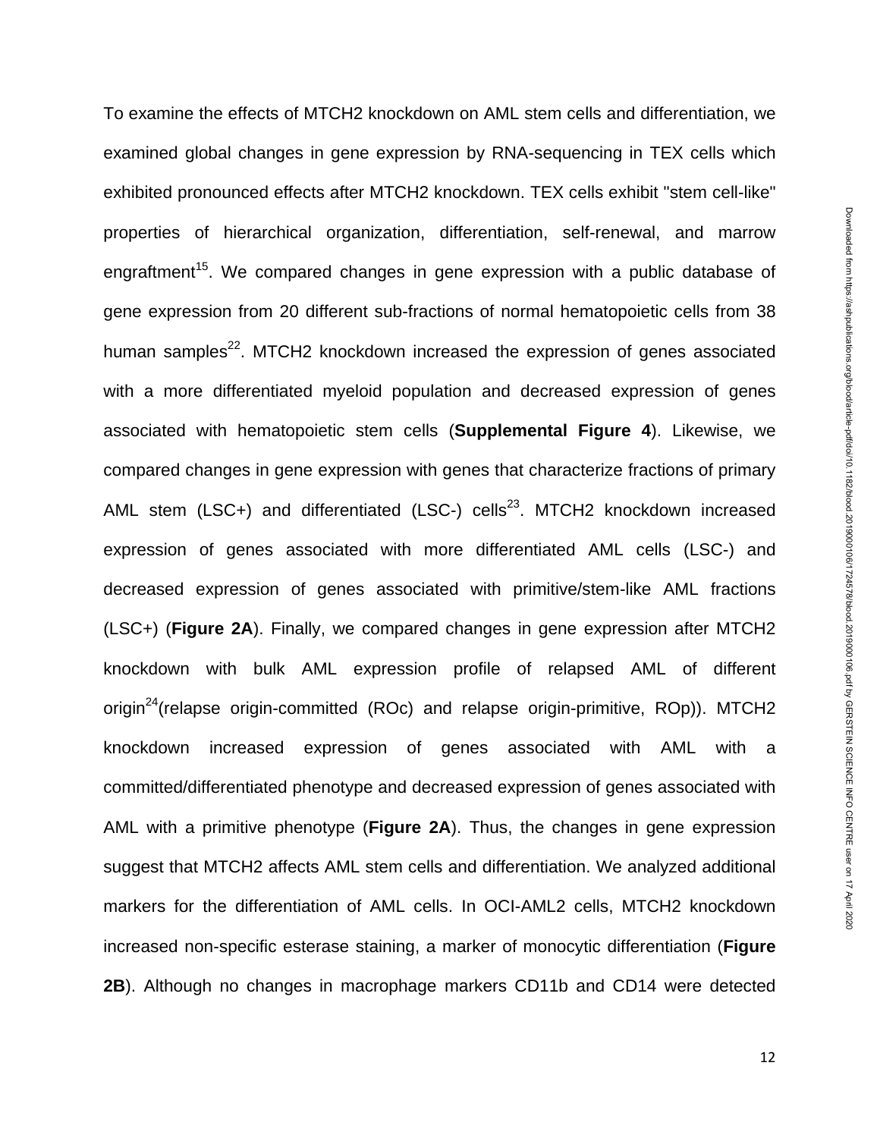To examine the effects of MTCH2 knockdown on AML stem cells and differentiation, we examined global changes in gene expression by RNA-sequencing in TEX cells which exhibited pronounced effects after MTCH2 knockdown. TEX cells exhibit "stem cell-like" properties of hierarchical organization, differentiation, self-renewal, and marrow engraftment<sup>15</sup>. We compared changes in gene expression with a public database of gene expression from 20 different sub-fractions of normal hematopoietic cells from 38 human samples<sup>22</sup>. MTCH2 knockdown increased the expression of genes associated with a more differentiated myeloid population and decreased expression of genes associated with hematopoietic stem cells (**Supplemental Figure 4**). Likewise, we compared changes in gene expression with genes that characterize fractions of primary AML stem (LSC+) and differentiated (LSC-) cells<sup>23</sup>. MTCH2 knockdown increased expression of genes associated with more differentiated AML cells (LSC-) and decreased expression of genes associated with primitive/stem-like AML fractions (LSC+) (**Figure 2A**). Finally, we compared changes in gene expression after MTCH2 knockdown with bulk AML expression profile of relapsed AML of different origin<sup>24</sup>(relapse origin-committed (ROc) and relapse origin-primitive, ROp)). MTCH2 knockdown increased expression of genes associated with AML with a committed/differentiated phenotype and decreased expression of genes associated with AML with a primitive phenotype (**Figure 2A**). Thus, the changes in gene expression suggest that MTCH2 affects AML stem cells and differentiation. We analyzed additional markers for the differentiation of AML cells. In OCI-AML2 cells, MTCH2 knockdown increased non-specific esterase staining, a marker of monocytic differentiation (**Figure 2B**). Although no changes in macrophage markers CD11b and CD14 were detected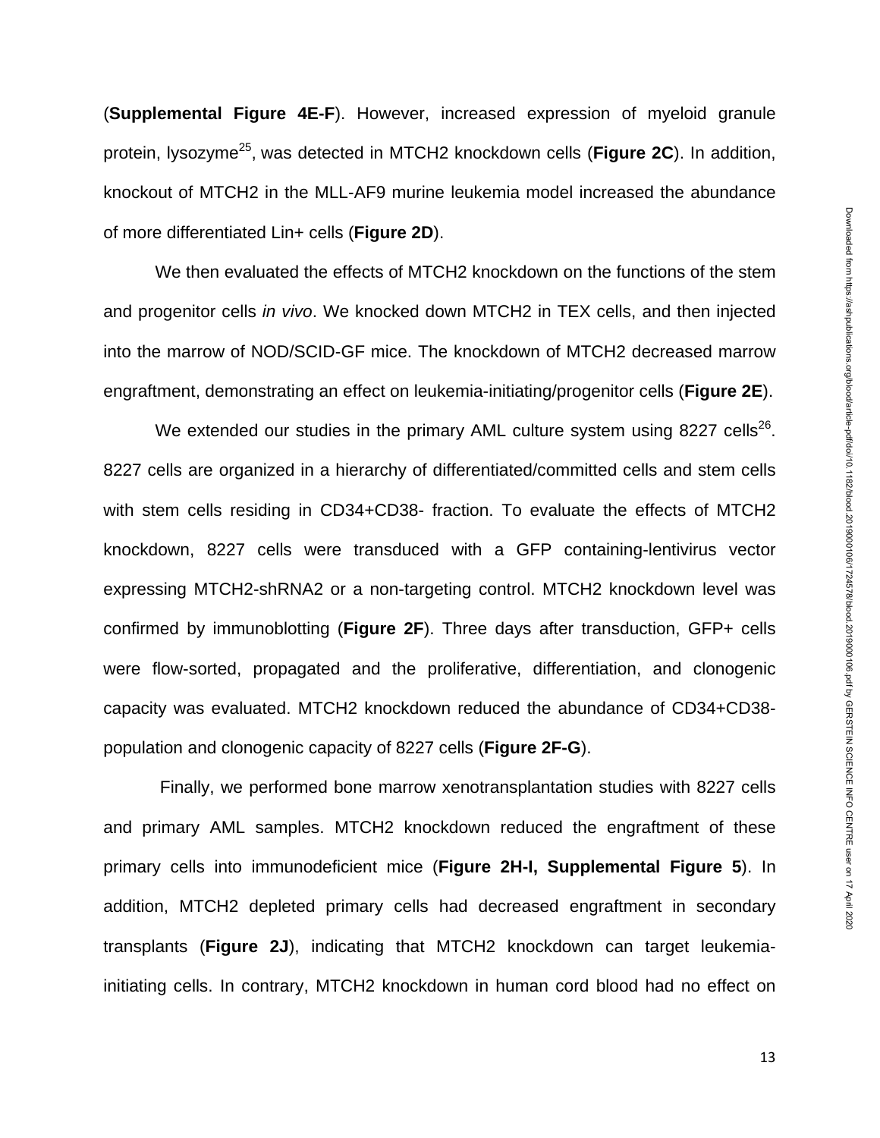(**Supplemental Figure 4E-F**). However, increased expression of myeloid granule protein, lysozyme<sup>25</sup>, was detected in MTCH2 knockdown cells (Fi**gure 2C**). In addition, knockout of MTCH2 in the MLL-AF9 murine leukemia model increased the abundance of more differentiated Lin+ cells (**Figure 2D**).

We then evaluated the effects of MTCH2 knockdown on the functions of the stem and progenitor cells *in vivo*. We knocked down MTCH2 in TEX cells, and then injected into the marrow of NOD/SCID-GF mice. The knockdown of MTCH2 decreased marrow engraftment, demonstrating an effect on leukemia-initiating/progenitor cells (**Figure 2E**).

We extended our studies in the primary AML culture system using 8227 cells<sup>26</sup>. 8227 cells are organized in a hierarchy of differentiated/committed cells and stem cells with stem cells residing in CD34+CD38- fraction. To evaluate the effects of MTCH2 knockdown, 8227 cells were transduced with a GFP containing-lentivirus vector expressing MTCH2-shRNA2 or a non-targeting control. MTCH2 knockdown level was confirmed by immunoblotting (**Figure 2F**). Three days after transduction, GFP+ cells were flow-sorted, propagated and the proliferative, differentiation, and clonogenic capacity was evaluated. MTCH2 knockdown reduced the abundance of CD34+CD38 population and clonogenic capacity of 8227 cells (**Figure 2F-G**).

Finally, we performed bone marrow xenotransplantation studies with 8227 cells and primary AML samples. MTCH2 knockdown reduced the engraftment of these primary cells into immunodeficient mice (**Figure 2H-I, Supplemental Figure 5**). In addition, MTCH2 depleted primary cells had decreased engraftment in secondary transplants (**Figure 2J**), indicating that MTCH2 knockdown can target leukemiainitiating cells. In contrary, MTCH2 knockdown in human cord blood had no effect on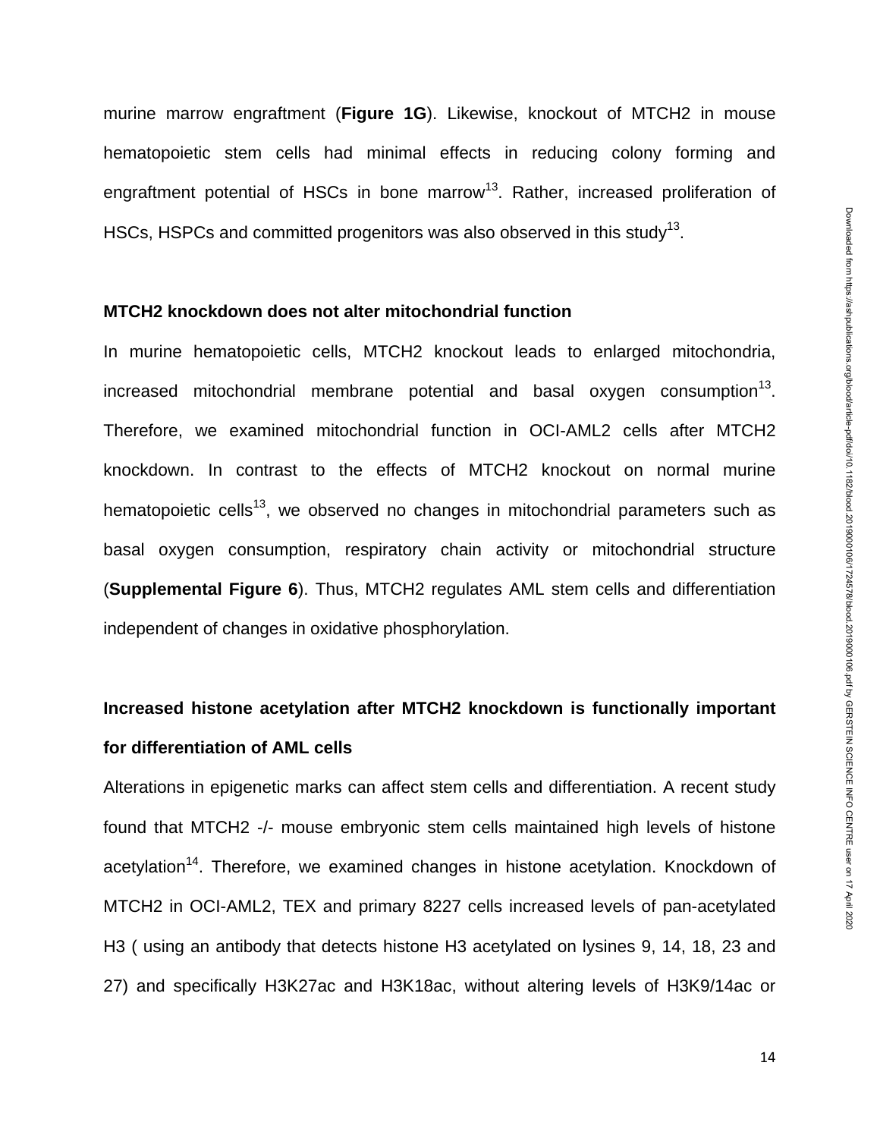murine marrow engraftment (**Figure 1G**). Likewise, knockout of MTCH2 in mouse hematopoietic stem cells had minimal effects in reducing colony forming and engraftment potential of HSCs in bone marrow<sup>13</sup>. Rather, increased proliferation of HSCs, HSPCs and committed progenitors was also observed in this study<sup>13</sup>.

### **MTCH2 knockdown does not alter mitochondrial function**

In murine hematopoietic cells, MTCH2 knockout leads to enlarged mitochondria, increased mitochondrial membrane potential and basal oxygen consumption $^{13}$ . Therefore, we examined mitochondrial function in OCI-AML2 cells after MTCH2 knockdown. In contrast to the effects of MTCH2 knockout on normal murine hematopoietic cells<sup>13</sup>, we observed no changes in mitochondrial parameters such as basal oxygen consumption, respiratory chain activity or mitochondrial structure (**Supplemental Figure 6**). Thus, MTCH2 regulates AML stem cells and differentiation independent of changes in oxidative phosphorylation.

# **Increased histone acetylation after MTCH2 knockdown is functionally important for differentiation of AML cells**

Alterations in epigenetic marks can affect stem cells and differentiation. A recent study found that MTCH2 -/- mouse embryonic stem cells maintained high levels of histone acetylation<sup>14</sup>. Therefore, we examined changes in histone acetylation. Knockdown of MTCH2 in OCI-AML2, TEX and primary 8227 cells increased levels of pan-acetylated H3 ( using an antibody that detects histone H3 acetylated on lysines 9, 14, 18, 23 and 27) and specifically H3K27ac and H3K18ac, without altering levels of H3K9/14ac or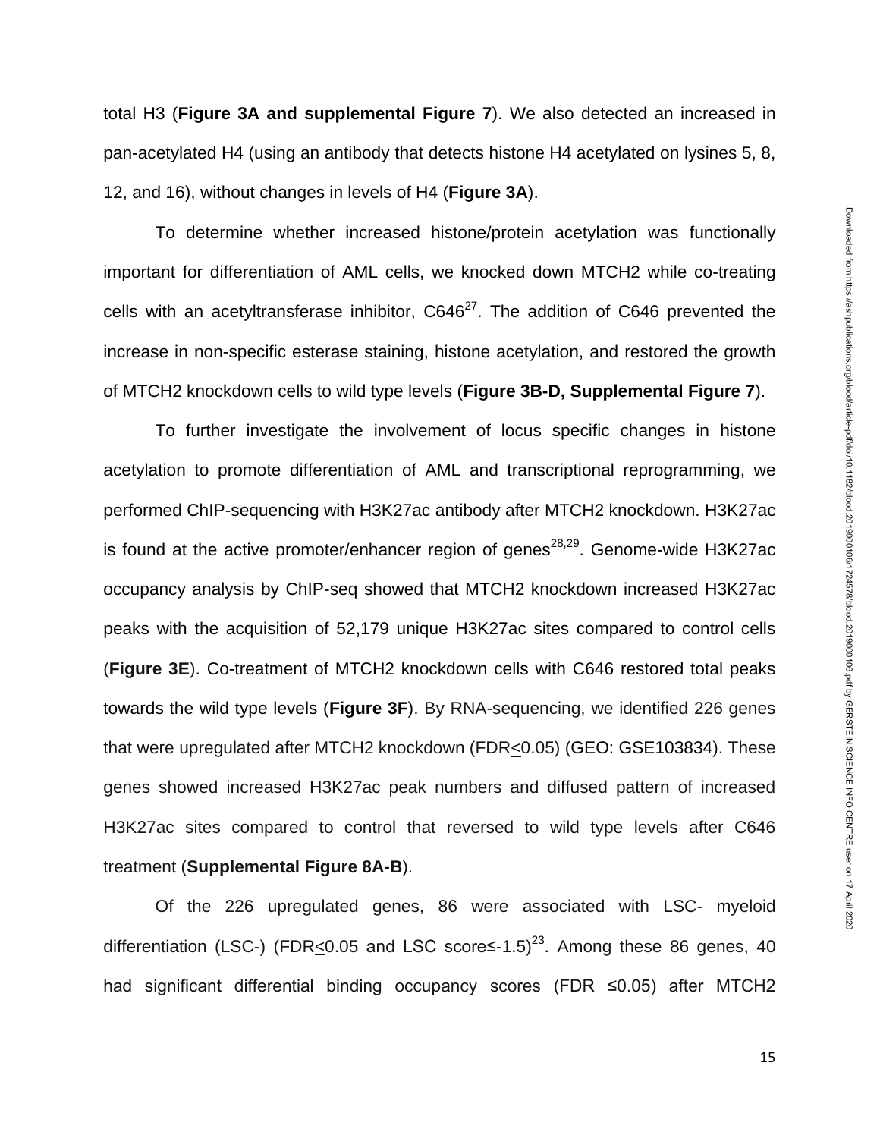total H3 (**Figure 3A and supplemental Figure 7**). We also detected an increased in pan-acetylated H4 (using an antibody that detects histone H4 acetylated on lysines 5, 8, 12, and 16), without changes in levels of H4 (**Figure 3A**).

To determine whether increased histone/protein acetylation was functionally important for differentiation of AML cells, we knocked down MTCH2 while co-treating cells with an acetyltransferase inhibitor,  $C646^{27}$ . The addition of C646 prevented the increase in non-specific esterase staining, histone acetylation, and restored the growth of MTCH2 knockdown cells to wild type levels (**Figure 3B-D, Supplemental Figure 7**).

To further investigate the involvement of locus specific changes in histone acetylation to promote differentiation of AML and transcriptional reprogramming, we performed ChIP-sequencing with H3K27ac antibody after MTCH2 knockdown. H3K27ac is found at the active promoter/enhancer region of genes<sup>28,29</sup>. Genome-wide H3K27ac occupancy analysis by ChIP-seq showed that MTCH2 knockdown increased H3K27ac peaks with the acquisition of 52,179 unique H3K27ac sites compared to control cells (**Figure 3E**). Co-treatment of MTCH2 knockdown cells with C646 restored total peaks towards the wild type levels (**Figure 3F**). By RNA-sequencing, we identified 226 genes that were upregulated after MTCH2 knockdown (FDR<0.05) (GEO: GSE103834). These genes showed increased H3K27ac peak numbers and diffused pattern of increased H3K27ac sites compared to control that reversed to wild type levels after C646 treatment (**Supplemental Figure 8A-B**).

Of the 226 upregulated genes, 86 were associated with LSC- myeloid differentiation (LSC-) (FDR<0.05 and LSC score≤-1.5)<sup>23</sup>. Among these 86 genes, 40 had significant differential binding occupancy scores (FDR ≤0.05) after MTCH2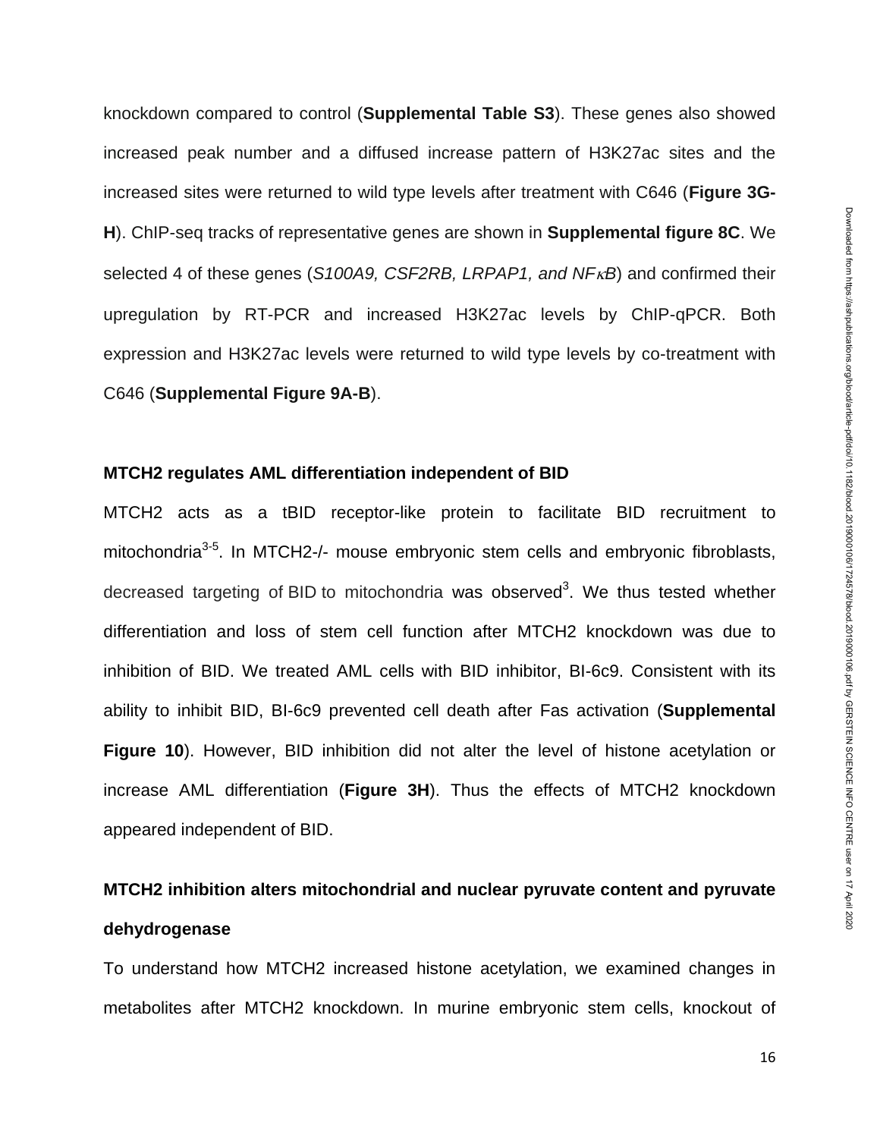knockdown compared to control (**Supplemental Table S3**). These genes also showed increased peak number and a diffused increase pattern of H3K27ac sites and the increased sites were returned to wild type levels after treatment with C646 (**Figure 3G-H**). ChIP-seq tracks of representative genes are shown in **Supplemental figure 8C**. We selected 4 of these genes (*S100A9, CSF2RB, LRPAP1, and NF<sub>K</sub>B*) and confirmed their upregulation by RT-PCR and increased H3K27ac levels by ChIP-qPCR. Both expression and H3K27ac levels were returned to wild type levels by co-treatment with C646 (**Supplemental Figure 9A-B**).

### **MTCH2 regulates AML differentiation independent of BID**

MTCH2 acts as a tBID receptor-like protein to facilitate BID recruitment to mitochondria<sup>3-5</sup>. In MTCH2-/- mouse embryonic stem cells and embryonic fibroblasts, decreased targeting of BID to mitochondria was observed<sup>3</sup>. We thus tested whether differentiation and loss of stem cell function after MTCH2 knockdown was due to inhibition of BID. We treated AML cells with BID inhibitor, BI-6c9. Consistent with its ability to inhibit BID, BI-6c9 prevented cell death after Fas activation (**Supplemental Figure 10**). However, BID inhibition did not alter the level of histone acetylation or increase AML differentiation (**Figure 3H**). Thus the effects of MTCH2 knockdown appeared independent of BID.

# **MTCH2 inhibition alters mitochondrial and nuclear pyruvate content and pyruvate dehydrogenase**

To understand how MTCH2 increased histone acetylation, we examined changes in metabolites after MTCH2 knockdown. In murine embryonic stem cells, knockout of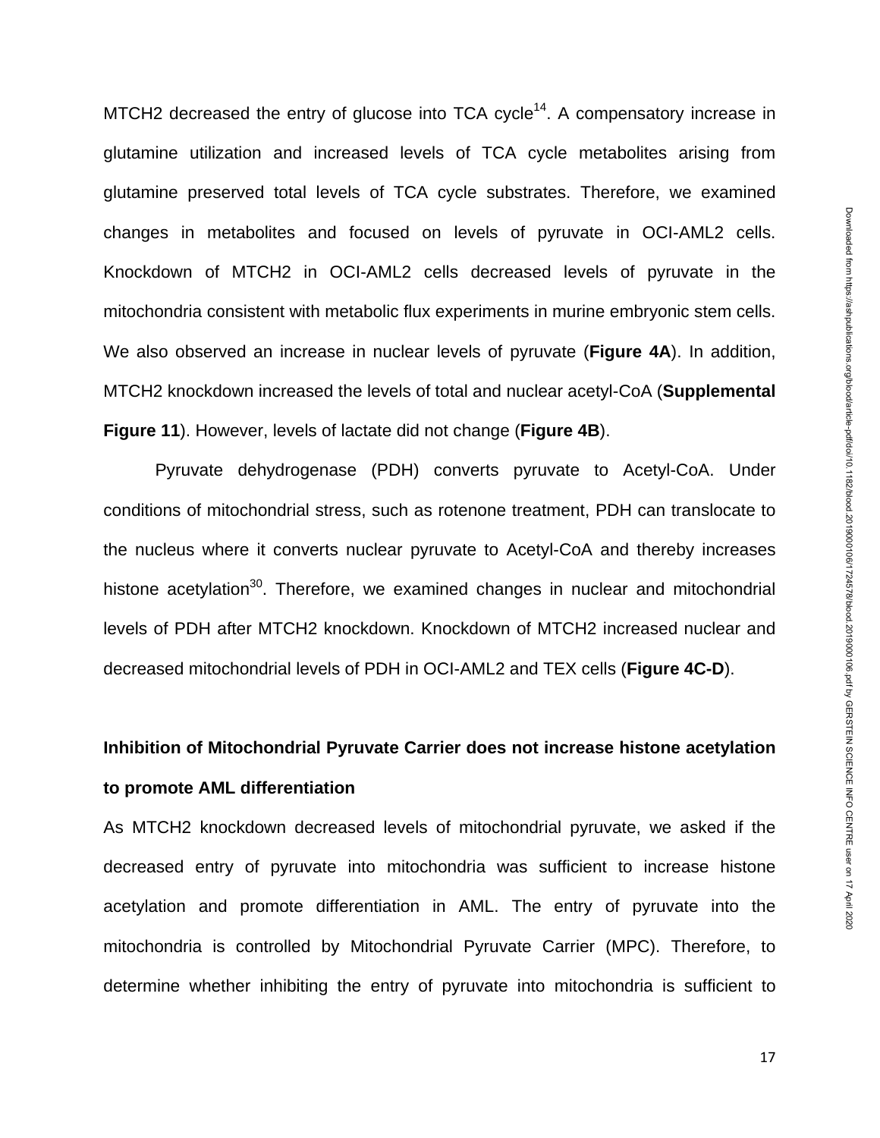MTCH2 decreased the entry of glucose into TCA cycle<sup>14</sup>. A compensatory increase in glutamine utilization and increased levels of TCA cycle metabolites arising from glutamine preserved total levels of TCA cycle substrates. Therefore, we examined changes in metabolites and focused on levels of pyruvate in OCI-AML2 cells. Knockdown of MTCH2 in OCI-AML2 cells decreased levels of pyruvate in the mitochondria consistent with metabolic flux experiments in murine embryonic stem cells. We also observed an increase in nuclear levels of pyruvate (**Figure 4A**). In addition, MTCH2 knockdown increased the levels of total and nuclear acetyl-CoA (**Supplemental Figure 11**). However, levels of lactate did not change (**Figure 4B**).

Pyruvate dehydrogenase (PDH) converts pyruvate to Acetyl-CoA. Under conditions of mitochondrial stress, such as rotenone treatment, PDH can translocate to the nucleus where it converts nuclear pyruvate to Acetyl-CoA and thereby increases histone acetylation<sup>30</sup>. Therefore, we examined changes in nuclear and mitochondrial levels of PDH after MTCH2 knockdown. Knockdown of MTCH2 increased nuclear and decreased mitochondrial levels of PDH in OCI-AML2 and TEX cells (**Figure 4C-D**).

# **Inhibition of Mitochondrial Pyruvate Carrier does not increase histone acetylation to promote AML differentiation**

As MTCH2 knockdown decreased levels of mitochondrial pyruvate, we asked if the decreased entry of pyruvate into mitochondria was sufficient to increase histone acetylation and promote differentiation in AML. The entry of pyruvate into the mitochondria is controlled by Mitochondrial Pyruvate Carrier (MPC). Therefore, to determine whether inhibiting the entry of pyruvate into mitochondria is sufficient to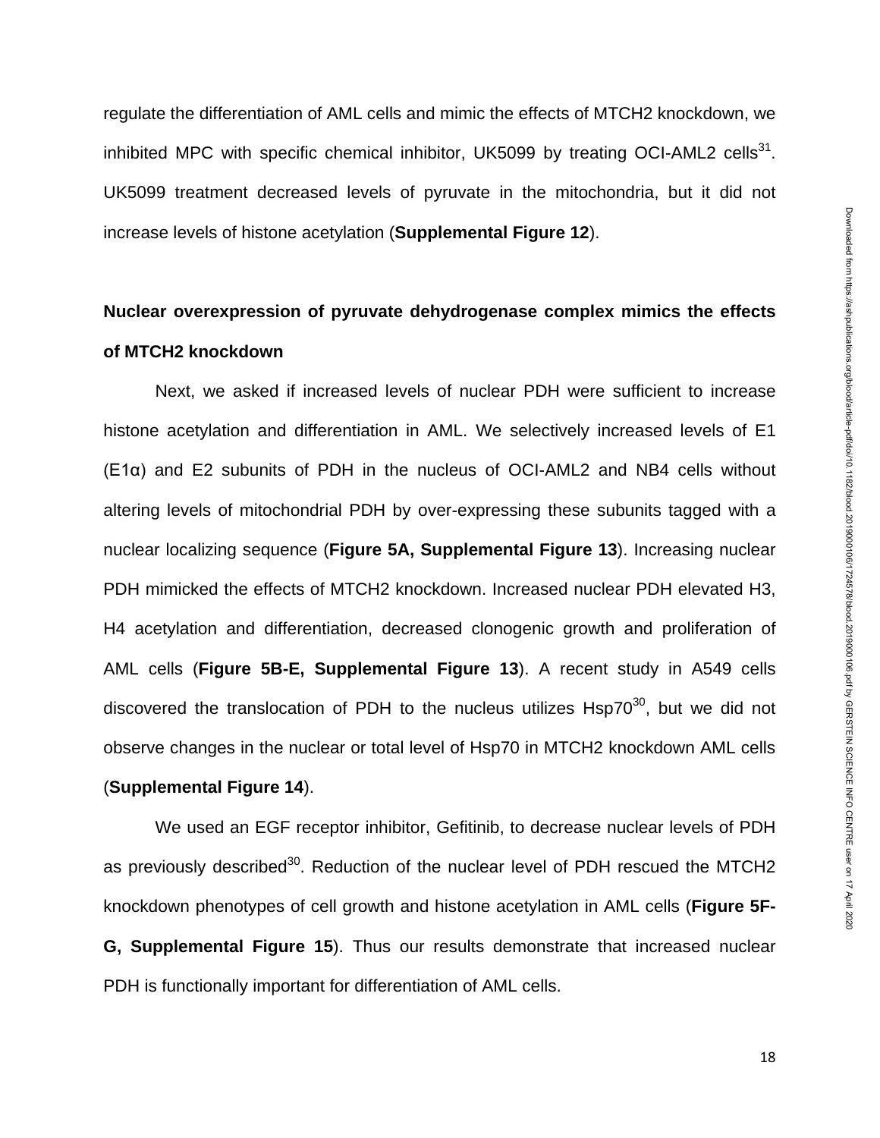regulate the differentiation of AML cells and mimic the effects of MTCH2 knockdown, we inhibited MPC with specific chemical inhibitor, UK5099 by treating OCI-AML2 cells $^{31}$ . UK5099 treatment decreased levels of pyruvate in the mitochondria, but it did not increase levels of histone acetylation (**Supplemental Figure 12**).

# **Nuclear overexpression of pyruvate dehydrogenase complex mimics the effects of MTCH2 knockdown**

Next, we asked if increased levels of nuclear PDH were sufficient to increase histone acetylation and differentiation in AML. We selectively increased levels of E1 (E1α) and E2 subunits of PDH in the nucleus of OCI-AML2 and NB4 cells without altering levels of mitochondrial PDH by over-expressing these subunits tagged with a nuclear localizing sequence (**Figure 5A, Supplemental Figure 13**). Increasing nuclear PDH mimicked the effects of MTCH2 knockdown. Increased nuclear PDH elevated H3, H4 acetylation and differentiation, decreased clonogenic growth and proliferation of AML cells (**Figure 5B-E, Supplemental Figure 13**). A recent study in A549 cells discovered the translocation of PDH to the nucleus utilizes  $Hsp70^{30}$ , but we did not observe changes in the nuclear or total level of Hsp70 in MTCH2 knockdown AML cells (**Supplemental Figure 14**).

We used an EGF receptor inhibitor, Gefitinib, to decrease nuclear levels of PDH as previously described<sup>30</sup>. Reduction of the nuclear level of PDH rescued the MTCH2 knockdown phenotypes of cell growth and histone acetylation in AML cells (**Figure 5F-G, Supplemental Figure 15**). Thus our results demonstrate that increased nuclear PDH is functionally important for differentiation of AML cells.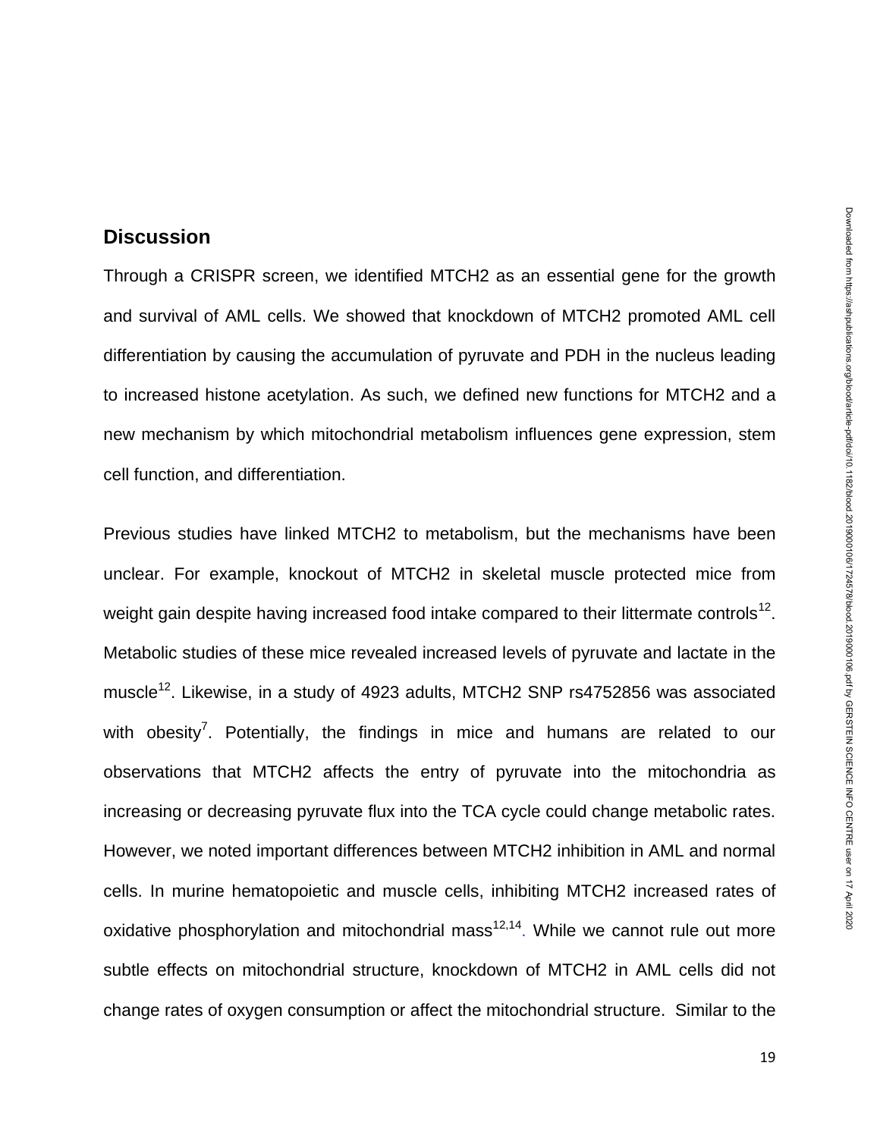## **Discussion**

Through a CRISPR screen, we identified MTCH2 as an essential gene for the growth and survival of AML cells. We showed that knockdown of MTCH2 promoted AML cell differentiation by causing the accumulation of pyruvate and PDH in the nucleus leading to increased histone acetylation. As such, we defined new functions for MTCH2 and a new mechanism by which mitochondrial metabolism influences gene expression, stem cell function, and differentiation.

Previous studies have linked MTCH2 to metabolism, but the mechanisms have been unclear. For example, knockout of MTCH2 in skeletal muscle protected mice from weight gain despite having increased food intake compared to their littermate controls<sup>12</sup>. Metabolic studies of these mice revealed increased levels of pyruvate and lactate in the muscle<sup>12</sup>. Likewise, in a study of 4923 adults, MTCH2 SNP rs4752856 was associated with obesity<sup>7</sup>. Potentially, the findings in mice and humans are related to our observations that MTCH2 affects the entry of pyruvate into the mitochondria as increasing or decreasing pyruvate flux into the TCA cycle could change metabolic rates. However, we noted important differences between MTCH2 inhibition in AML and normal cells. In murine hematopoietic and muscle cells, inhibiting MTCH2 increased rates of oxidative phosphorylation and mitochondrial mass<sup>12,14</sup>. While we cannot rule out more subtle effects on mitochondrial structure, knockdown of MTCH2 in AML cells did not change rates of oxygen consumption or affect the mitochondrial structure. Similar to the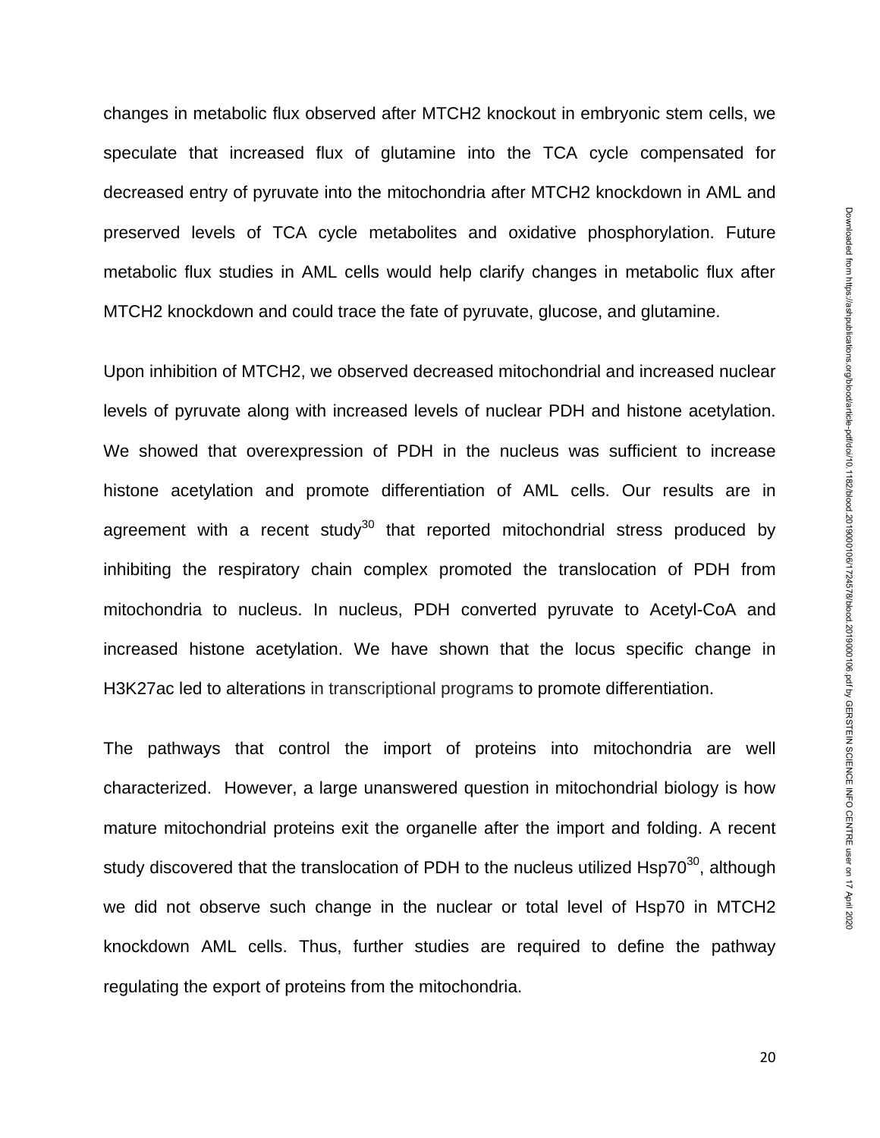changes in metabolic flux observed after MTCH2 knockout in embryonic stem cells, we speculate that increased flux of glutamine into the TCA cycle compensated for decreased entry of pyruvate into the mitochondria after MTCH2 knockdown in AML and preserved levels of TCA cycle metabolites and oxidative phosphorylation. Future metabolic flux studies in AML cells would help clarify changes in metabolic flux after MTCH2 knockdown and could trace the fate of pyruvate, glucose, and glutamine.

Upon inhibition of MTCH2, we observed decreased mitochondrial and increased nuclear levels of pyruvate along with increased levels of nuclear PDH and histone acetylation. We showed that overexpression of PDH in the nucleus was sufficient to increase histone acetylation and promote differentiation of AML cells. Our results are in agreement with a recent study<sup>30</sup> that reported mitochondrial stress produced by inhibiting the respiratory chain complex promoted the translocation of PDH from mitochondria to nucleus. In nucleus, PDH converted pyruvate to Acetyl-CoA and increased histone acetylation. We have shown that the locus specific change in H3K27ac led to alterations in transcriptional programs to promote differentiation.

The pathways that control the import of proteins into mitochondria are well characterized. However, a large unanswered question in mitochondrial biology is how mature mitochondrial proteins exit the organelle after the import and folding. A recent study discovered that the translocation of PDH to the nucleus utilized Hsp70 $30$ , although we did not observe such change in the nuclear or total level of Hsp70 in MTCH2 knockdown AML cells. Thus, further studies are required to define the pathway regulating the export of proteins from the mitochondria.

20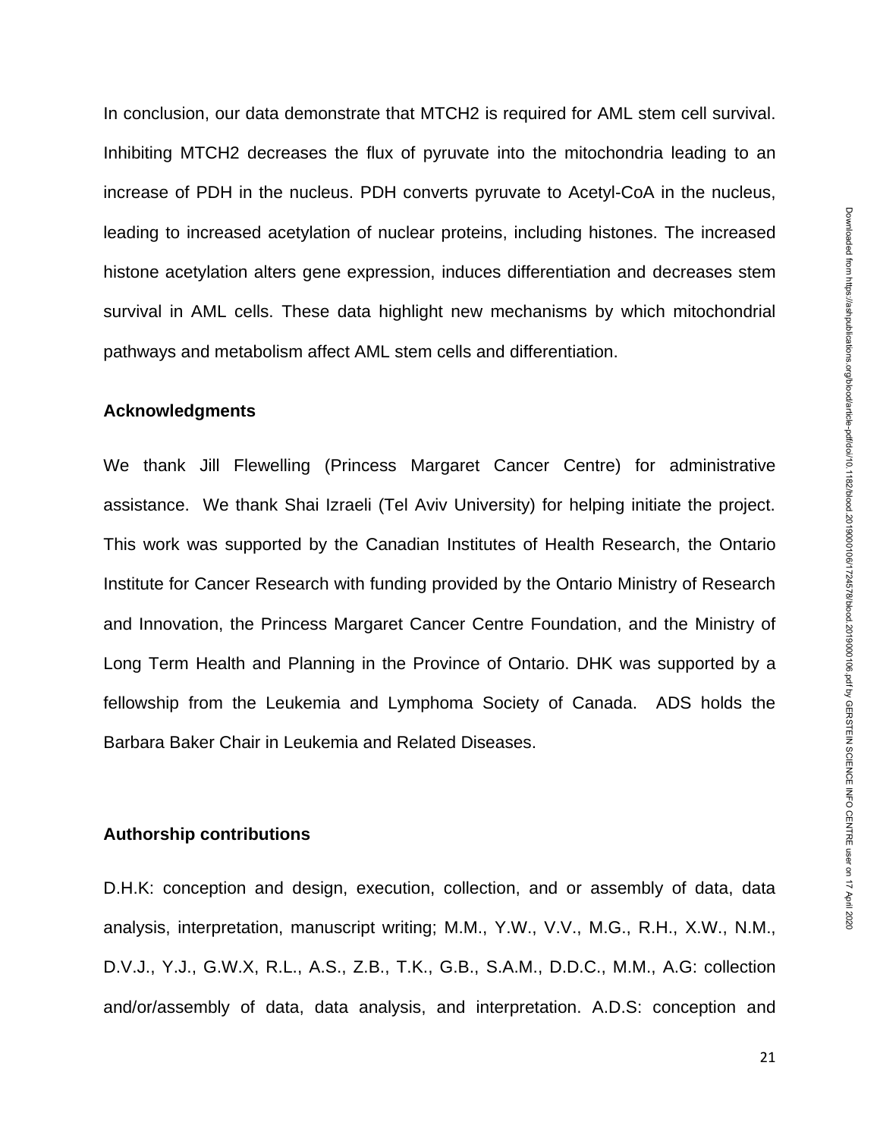In conclusion, our data demonstrate that MTCH2 is required for AML stem cell survival. Inhibiting MTCH2 decreases the flux of pyruvate into the mitochondria leading to an increase of PDH in the nucleus. PDH converts pyruvate to Acetyl-CoA in the nucleus, leading to increased acetylation of nuclear proteins, including histones. The increased histone acetylation alters gene expression, induces differentiation and decreases stem survival in AML cells. These data highlight new mechanisms by which mitochondrial pathways and metabolism affect AML stem cells and differentiation.

### **Acknowledgments**

We thank Jill Flewelling (Princess Margaret Cancer Centre) for administrative assistance. We thank Shai Izraeli (Tel Aviv University) for helping initiate the project. This work was supported by the Canadian Institutes of Health Research, the Ontario Institute for Cancer Research with funding provided by the Ontario Ministry of Research and Innovation, the Princess Margaret Cancer Centre Foundation, and the Ministry of Long Term Health and Planning in the Province of Ontario. DHK was supported by a fellowship from the Leukemia and Lymphoma Society of Canada. ADS holds the Barbara Baker Chair in Leukemia and Related Diseases.

### **Authorship contributions**

D.H.K: conception and design, execution, collection, and or assembly of data, data analysis, interpretation, manuscript writing; M.M., Y.W., V.V., M.G., R.H., X.W., N.M., D.V.J., Y.J., G.W.X, R.L., A.S., Z.B., T.K., G.B., S.A.M., D.D.C., M.M., A.G: collection and/or/assembly of data, data analysis, and interpretation. A.D.S: conception and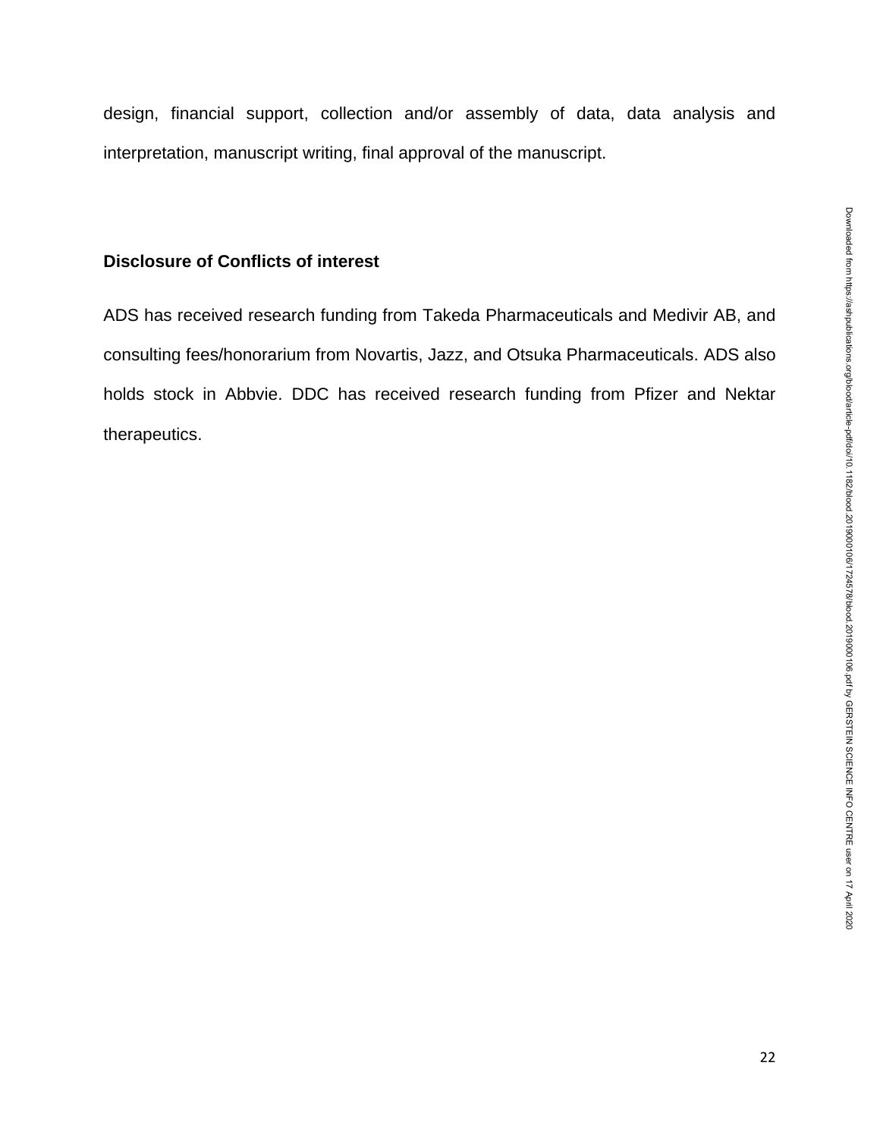design, financial support, collection and/or assembly of data, data analysis and interpretation, manuscript writing, final approval of the manuscript.

## **Disclosure of Conflicts of interest**

ADS has received research funding from Takeda Pharmaceuticals and Medivir AB, and consulting fees/honorarium from Novartis, Jazz, and Otsuka Pharmaceuticals. ADS also holds stock in Abbvie. DDC has received research funding from Pfizer and Nektar therapeutics.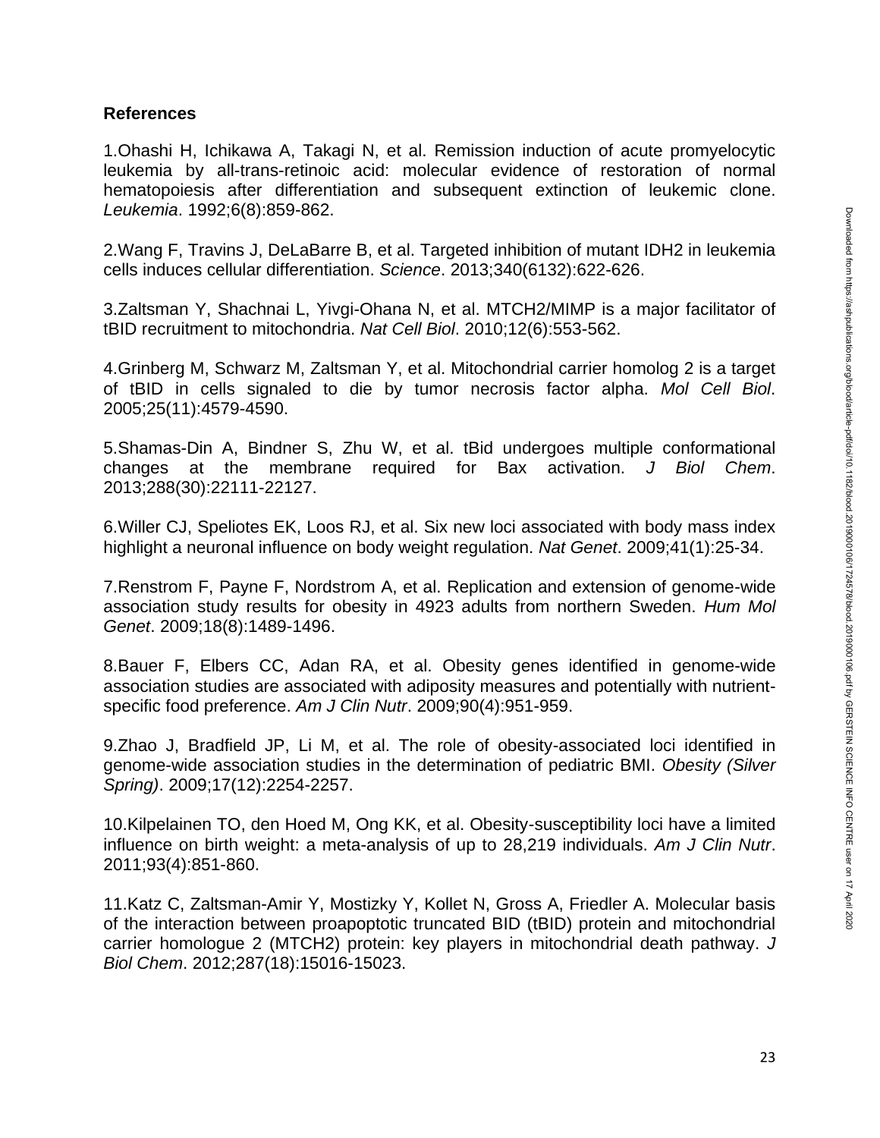### **References**

1.Ohashi H, Ichikawa A, Takagi N, et al. Remission induction of acute promyelocytic leukemia by all-trans-retinoic acid: molecular evidence of restoration of normal hematopoiesis after differentiation and subsequent extinction of leukemic clone. *Leukemia*. 1992;6(8):859-862.

2.Wang F, Travins J, DeLaBarre B, et al. Targeted inhibition of mutant IDH2 in leukemia cells induces cellular differentiation. *Science*. 2013;340(6132):622-626.

3.Zaltsman Y, Shachnai L, Yivgi-Ohana N, et al. MTCH2/MIMP is a major facilitator of tBID recruitment to mitochondria. *Nat Cell Biol*. 2010;12(6):553-562.

4.Grinberg M, Schwarz M, Zaltsman Y, et al. Mitochondrial carrier homolog 2 is a target of tBID in cells signaled to die by tumor necrosis factor alpha. *Mol Cell Biol*. 2005;25(11):4579-4590.

5.Shamas-Din A, Bindner S, Zhu W, et al. tBid undergoes multiple conformational changes at the membrane required for Bax activation. *J Biol Chem*. 2013;288(30):22111-22127.

6.Willer CJ, Speliotes EK, Loos RJ, et al. Six new loci associated with body mass index highlight a neuronal influence on body weight regulation. *Nat Genet*. 2009;41(1):25-34.

7.Renstrom F, Payne F, Nordstrom A, et al. Replication and extension of genome-wide association study results for obesity in 4923 adults from northern Sweden. *Hum Mol Genet*. 2009;18(8):1489-1496.

8.Bauer F, Elbers CC, Adan RA, et al. Obesity genes identified in genome-wide association studies are associated with adiposity measures and potentially with nutrientspecific food preference. *Am J Clin Nutr*. 2009;90(4):951-959.

9.Zhao J, Bradfield JP, Li M, et al. The role of obesity-associated loci identified in genome-wide association studies in the determination of pediatric BMI. *Obesity (Silver Spring)*. 2009;17(12):2254-2257.

10.Kilpelainen TO, den Hoed M, Ong KK, et al. Obesity-susceptibility loci have a limited influence on birth weight: a meta-analysis of up to 28,219 individuals. *Am J Clin Nutr*. 2011;93(4):851-860.

11.Katz C, Zaltsman-Amir Y, Mostizky Y, Kollet N, Gross A, Friedler A. Molecular basis of the interaction between proapoptotic truncated BID (tBID) protein and mitochondrial carrier homologue 2 (MTCH2) protein: key players in mitochondrial death pathway. *J Biol Chem*. 2012;287(18):15016-15023.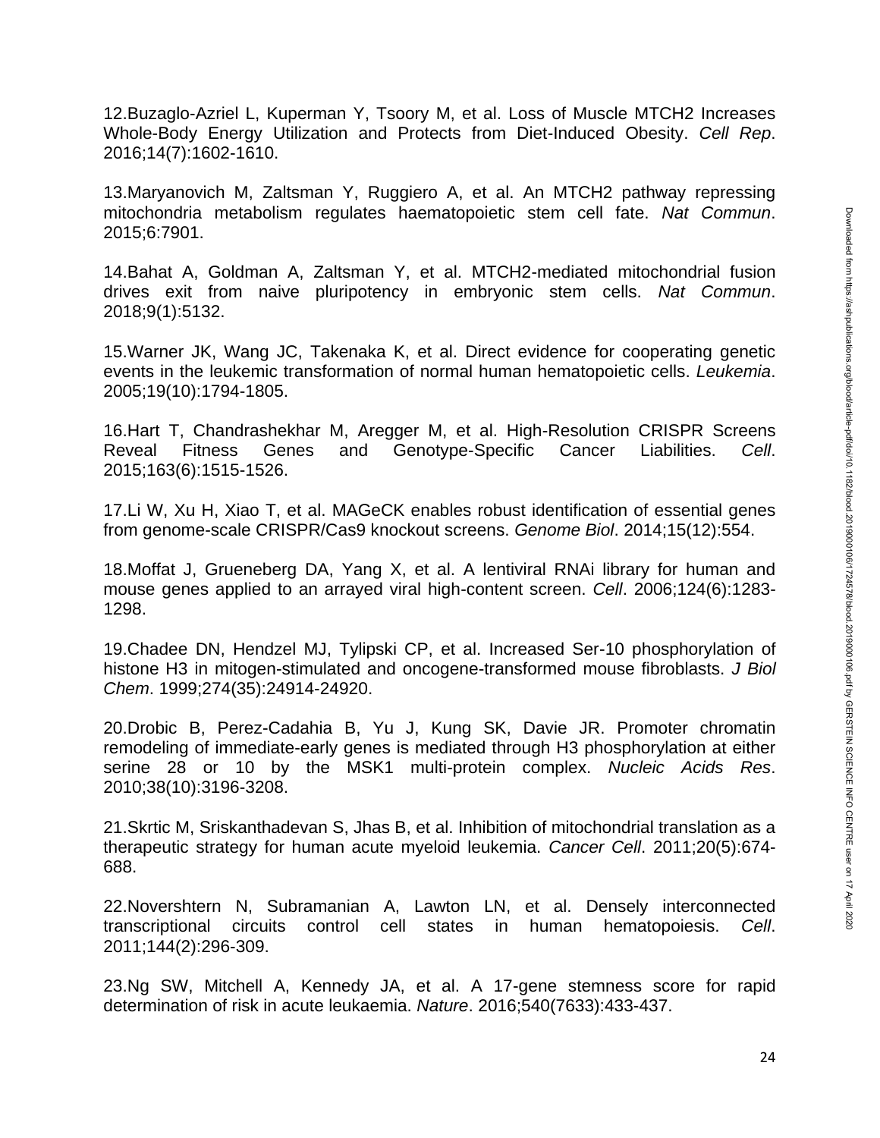12.Buzaglo-Azriel L, Kuperman Y, Tsoory M, et al. Loss of Muscle MTCH2 Increases Whole-Body Energy Utilization and Protects from Diet-Induced Obesity. *Cell Rep*. 2016;14(7):1602-1610.

13.Maryanovich M, Zaltsman Y, Ruggiero A, et al. An MTCH2 pathway repressing mitochondria metabolism regulates haematopoietic stem cell fate. *Nat Commun*. 2015;6:7901.

14.Bahat A, Goldman A, Zaltsman Y, et al. MTCH2-mediated mitochondrial fusion drives exit from naive pluripotency in embryonic stem cells. *Nat Commun*. 2018;9(1):5132.

15.Warner JK, Wang JC, Takenaka K, et al. Direct evidence for cooperating genetic events in the leukemic transformation of normal human hematopoietic cells. *Leukemia*. 2005;19(10):1794-1805.

16.Hart T, Chandrashekhar M, Aregger M, et al. High-Resolution CRISPR Screens Reveal Fitness Genes and Genotype-Specific Cancer Liabilities. *Cell*. 2015;163(6):1515-1526.

17.Li W, Xu H, Xiao T, et al. MAGeCK enables robust identification of essential genes from genome-scale CRISPR/Cas9 knockout screens. *Genome Biol*. 2014;15(12):554.

18.Moffat J, Grueneberg DA, Yang X, et al. A lentiviral RNAi library for human and mouse genes applied to an arrayed viral high-content screen. *Cell*. 2006;124(6):1283- 1298.

19.Chadee DN, Hendzel MJ, Tylipski CP, et al. Increased Ser-10 phosphorylation of histone H3 in mitogen-stimulated and oncogene-transformed mouse fibroblasts. *J Biol Chem*. 1999;274(35):24914-24920.

20.Drobic B, Perez-Cadahia B, Yu J, Kung SK, Davie JR. Promoter chromatin remodeling of immediate-early genes is mediated through H3 phosphorylation at either serine 28 or 10 by the MSK1 multi-protein complex. *Nucleic Acids Res*. 2010;38(10):3196-3208.

21.Skrtic M, Sriskanthadevan S, Jhas B, et al. Inhibition of mitochondrial translation as a therapeutic strategy for human acute myeloid leukemia. *Cancer Cell*. 2011;20(5):674- 688.

22.Novershtern N, Subramanian A, Lawton LN, et al. Densely interconnected transcriptional circuits control cell states in human hematopoiesis. *Cell*. 2011;144(2):296-309.

23.Ng SW, Mitchell A, Kennedy JA, et al. A 17-gene stemness score for rapid determination of risk in acute leukaemia. *Nature*. 2016;540(7633):433-437.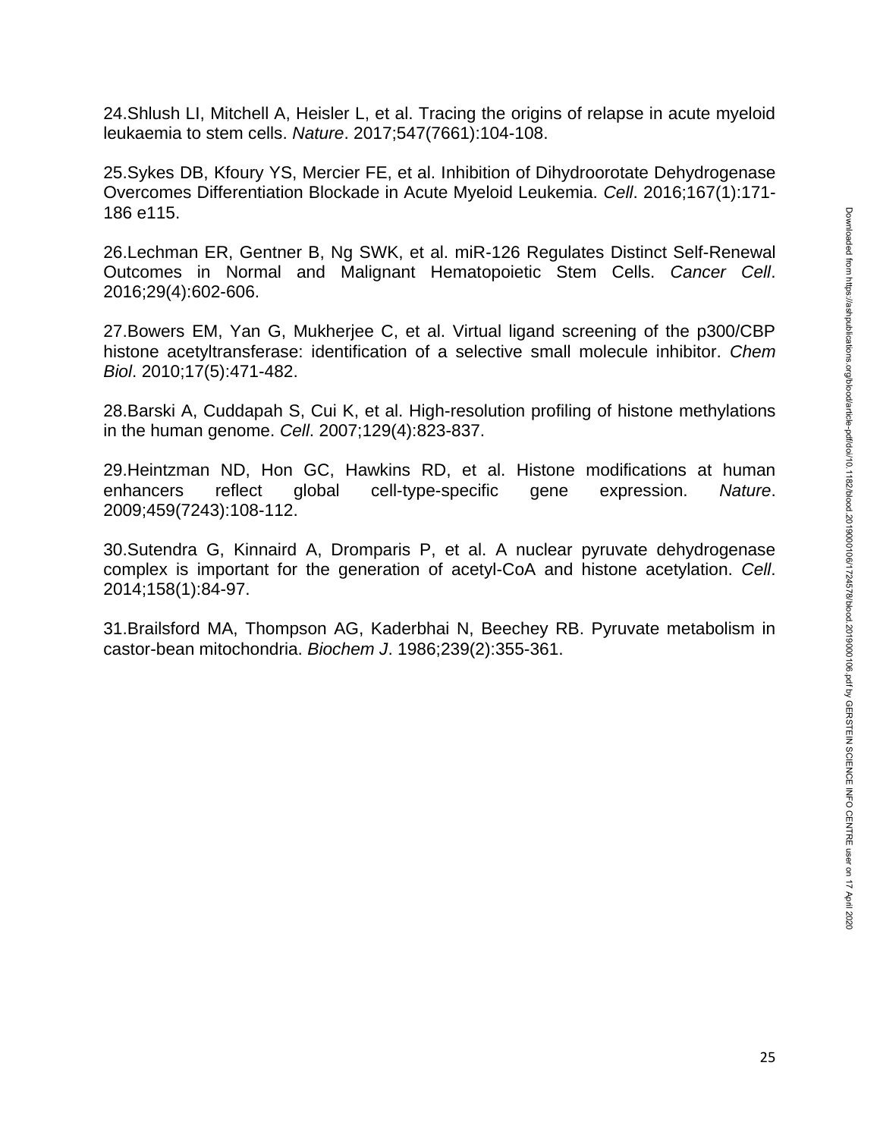25.Sykes DB, Kfoury YS, Mercier FE, et al. Inhibition of Dihydroorotate Dehydrogenase Overcomes Differentiation Blockade in Acute Myeloid Leukemia. *Cell*. 2016;167(1):171- 186 e115.

26.Lechman ER, Gentner B, Ng SWK, et al. miR-126 Regulates Distinct Self-Renewal Outcomes in Normal and Malignant Hematopoietic Stem Cells. *Cancer Cell*. 2016;29(4):602-606.

27.Bowers EM, Yan G, Mukherjee C, et al. Virtual ligand screening of the p300/CBP histone acetyltransferase: identification of a selective small molecule inhibitor. *Chem Biol*. 2010;17(5):471-482.

28.Barski A, Cuddapah S, Cui K, et al. High-resolution profiling of histone methylations in the human genome. *Cell*. 2007;129(4):823-837.

29.Heintzman ND, Hon GC, Hawkins RD, et al. Histone modifications at human enhancers reflect global cell-type-specific gene expression. *Nature*. 2009;459(7243):108-112.

30.Sutendra G, Kinnaird A, Dromparis P, et al. A nuclear pyruvate dehydrogenase complex is important for the generation of acetyl-CoA and histone acetylation. *Cell*. 2014;158(1):84-97.

31.Brailsford MA, Thompson AG, Kaderbhai N, Beechey RB. Pyruvate metabolism in castor-bean mitochondria. *Biochem J*. 1986;239(2):355-361.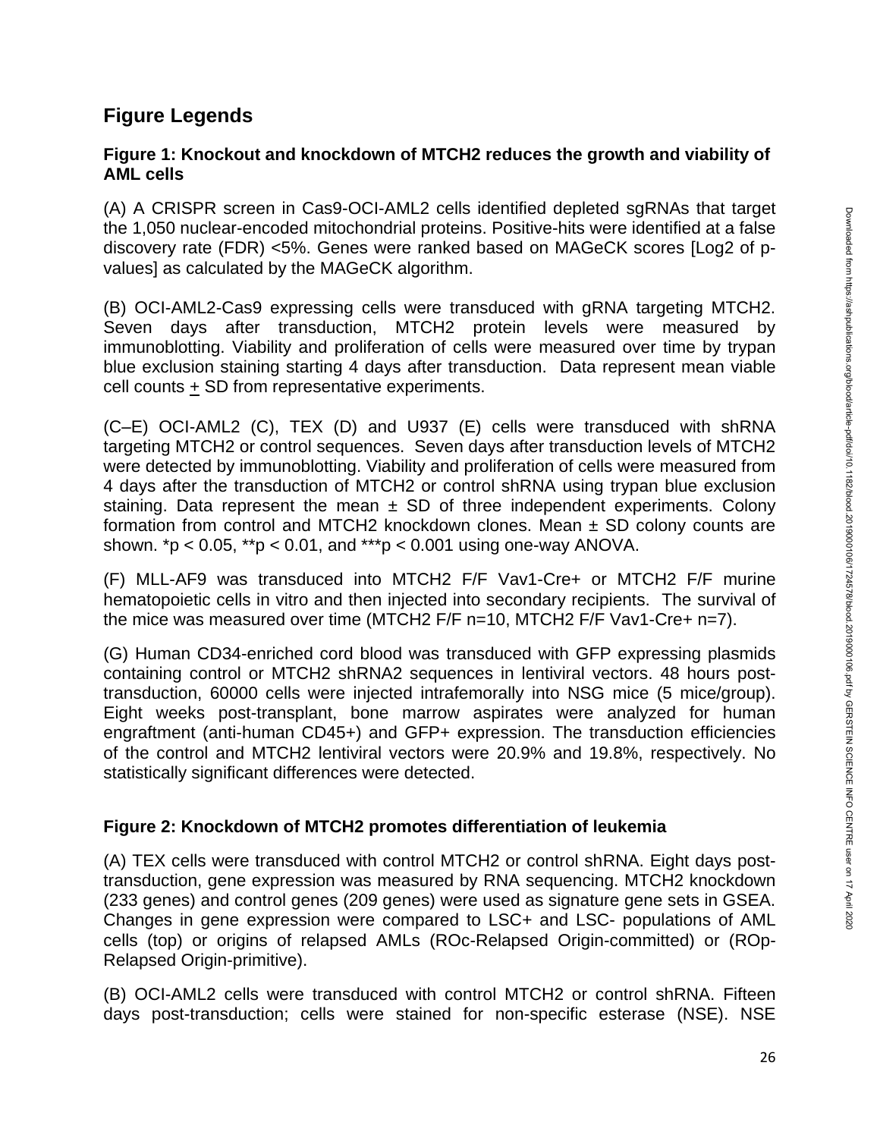# **Figure Legends**

## **Figure 1: Knockout and knockdown of MTCH2 reduces the growth and viability of AML cells**

(A) A CRISPR screen in Cas9-OCI-AML2 cells identified depleted sgRNAs that target the 1,050 nuclear-encoded mitochondrial proteins. Positive-hits were identified at a false discovery rate (FDR) <5%. Genes were ranked based on MAGeCK scores [Log2 of pvalues] as calculated by the MAGeCK algorithm.

(B) OCI-AML2-Cas9 expressing cells were transduced with gRNA targeting MTCH2. Seven days after transduction, MTCH2 protein levels were measured by immunoblotting. Viability and proliferation of cells were measured over time by trypan blue exclusion staining starting 4 days after transduction. Data represent mean viable cell counts + SD from representative experiments.

(C–E) OCI-AML2 (C), TEX (D) and U937 (E) cells were transduced with shRNA targeting MTCH2 or control sequences. Seven days after transduction levels of MTCH2 were detected by immunoblotting. Viability and proliferation of cells were measured from 4 days after the transduction of MTCH2 or control shRNA using trypan blue exclusion staining. Data represent the mean  $\pm$  SD of three independent experiments. Colony formation from control and MTCH2 knockdown clones. Mean  $\pm$  SD colony counts are shown.  $p < 0.05$ ,  $p > 0.01$ , and  $p > 0.001$  using one-way ANOVA.

(F) MLL-AF9 was transduced into MTCH2 F/F Vav1-Cre+ or MTCH2 F/F murine hematopoietic cells in vitro and then injected into secondary recipients. The survival of the mice was measured over time (MTCH2 F/F n=10, MTCH2 F/F Vav1-Cre+ n=7).

(G) Human CD34-enriched cord blood was transduced with GFP expressing plasmids containing control or MTCH2 shRNA2 sequences in lentiviral vectors. 48 hours posttransduction, 60000 cells were injected intrafemorally into NSG mice (5 mice/group). Eight weeks post-transplant, bone marrow aspirates were analyzed for human engraftment (anti-human CD45+) and GFP+ expression. The transduction efficiencies of the control and MTCH2 lentiviral vectors were 20.9% and 19.8%, respectively. No statistically significant differences were detected.

## **Figure 2: Knockdown of MTCH2 promotes differentiation of leukemia**

(A) TEX cells were transduced with control MTCH2 or control shRNA. Eight days posttransduction, gene expression was measured by RNA sequencing. MTCH2 knockdown (233 genes) and control genes (209 genes) were used as signature gene sets in GSEA. Changes in gene expression were compared to LSC+ and LSC- populations of AML cells (top) or origins of relapsed AMLs (ROc-Relapsed Origin-committed) or (ROp-Relapsed Origin-primitive).

(B) OCI-AML2 cells were transduced with control MTCH2 or control shRNA. Fifteen days post-transduction; cells were stained for non-specific esterase (NSE). NSE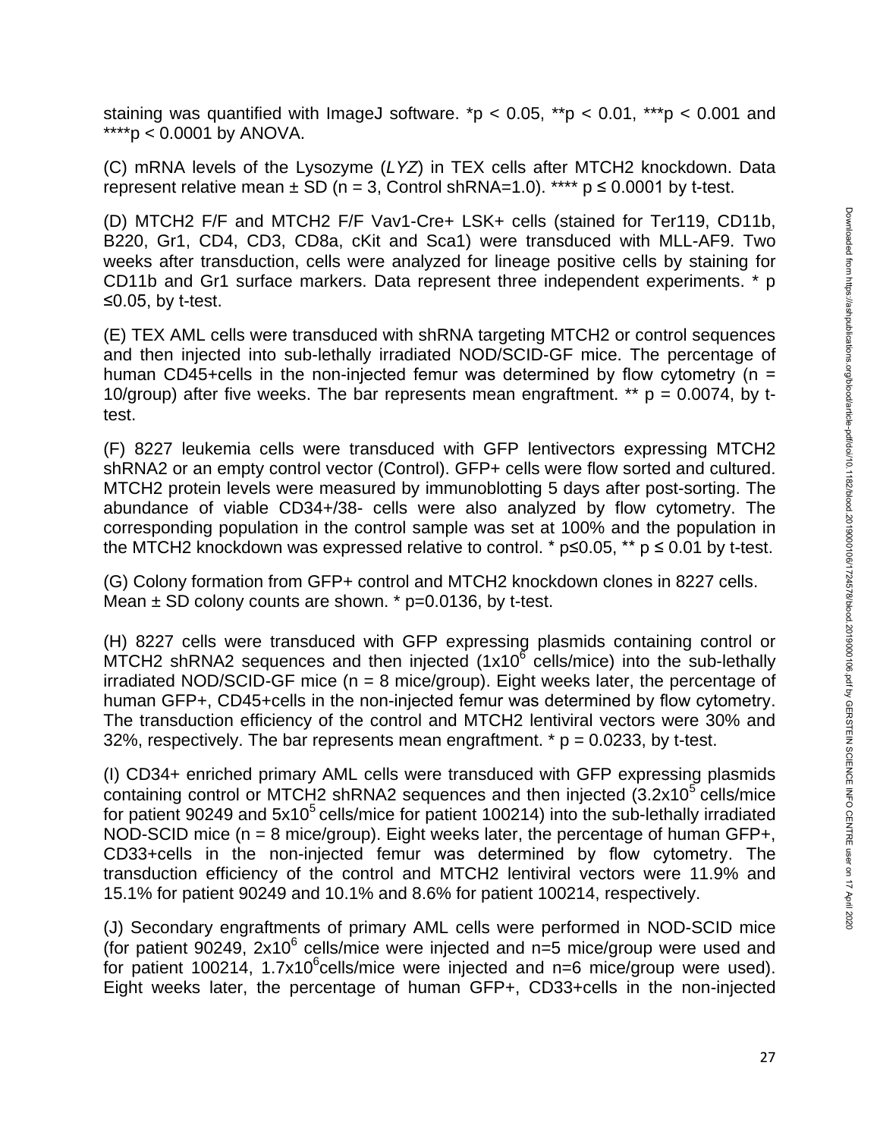staining was quantified with ImageJ software. \*p <  $0.05$ , \*\*p <  $0.01$ , \*\*\*p <  $0.001$  and \*\*\*\*p <  $0.0001$  by ANOVA.

(C) mRNA levels of the Lysozyme (*LYZ*) in TEX cells after MTCH2 knockdown. Data represent relative mean  $\pm$  SD (n = 3, Control shRNA=1.0). \*\*\*\* p  $\leq$  0.0001 by t-test.

(D) MTCH2 F/F and MTCH2 F/F Vav1-Cre+ LSK+ cells (stained for Ter119, CD11b, B220, Gr1, CD4, CD3, CD8a, cKit and Sca1) were transduced with MLL-AF9. Two weeks after transduction, cells were analyzed for lineage positive cells by staining for CD11b and Gr1 surface markers. Data represent three independent experiments. \* p ≤0.05, by t-test.

(E) TEX AML cells were transduced with shRNA targeting MTCH2 or control sequences and then injected into sub-lethally irradiated NOD/SCID-GF mice. The percentage of human CD45+cells in the non-injected femur was determined by flow cytometry ( $n =$ 10/group) after five weeks. The bar represents mean engraftment. \*\*  $p = 0.0074$ , by ttest.

(F) 8227 leukemia cells were transduced with GFP lentivectors expressing MTCH2 shRNA2 or an empty control vector (Control). GFP+ cells were flow sorted and cultured. MTCH2 protein levels were measured by immunoblotting 5 days after post-sorting. The abundance of viable CD34+/38- cells were also analyzed by flow cytometry. The corresponding population in the control sample was set at 100% and the population in the MTCH2 knockdown was expressed relative to control. \*  $p \le 0.05$ , \*\*  $p \le 0.01$  by t-test.

(G) Colony formation from GFP+ control and MTCH2 knockdown clones in 8227 cells. Mean  $\pm$  SD colony counts are shown.  $*$  p=0.0136, by t-test.

(H) 8227 cells were transduced with GFP expressing plasmids containing control or MTCH2 shRNA2 sequences and then injected  $(1x10^6 \text{ cells/mice})$  into the sub-lethally irradiated NOD/SCID-GF mice ( $n = 8$  mice/group). Eight weeks later, the percentage of human GFP+, CD45+cells in the non-injected femur was determined by flow cytometry. The transduction efficiency of the control and MTCH2 lentiviral vectors were 30% and 32%, respectively. The bar represents mean engraftment.  $* p = 0.0233$ , by t-test.

(I) CD34+ enriched primary AML cells were transduced with GFP expressing plasmids containing control or MTCH2 shRNA2 sequences and then injected  $(3.2x10<sup>5</sup>$  cells/mice for patient 90249 and  $5x10<sup>5</sup>$  cells/mice for patient 100214) into the sub-lethally irradiated NOD-SCID mice  $(n = 8$  mice/group). Eight weeks later, the percentage of human GFP+, CD33+cells in the non-injected femur was determined by flow cytometry. The transduction efficiency of the control and MTCH2 lentiviral vectors were 11.9% and 15.1% for patient 90249 and 10.1% and 8.6% for patient 100214, respectively.

(J) Secondary engraftments of primary AML cells were performed in NOD-SCID mice (for patient 90249, 2x10 $^6$  cells/mice were injected and n=5 mice/group were used and for patient 100214, 1.7x10 $^6$ cells/mice were injected and n=6 mice/group were used). Eight weeks later, the percentage of human GFP+, CD33+cells in the non-injected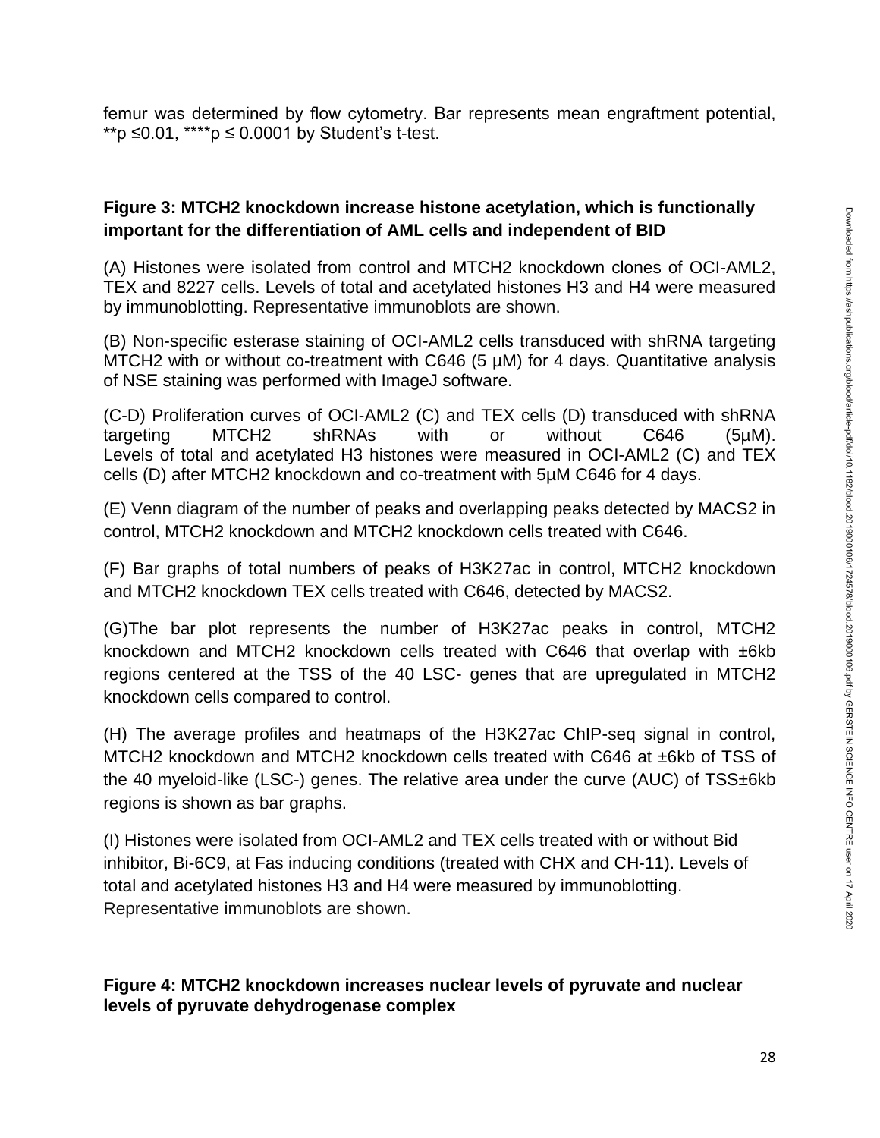femur was determined by flow cytometry. Bar represents mean engraftment potential, \*\*p ≤0.01, \*\*\*\*p ≤ 0.0001 by Student's t-test.

## **Figure 3: MTCH2 knockdown increase histone acetylation, which is functionally important for the differentiation of AML cells and independent of BID**

(A) Histones were isolated from control and MTCH2 knockdown clones of OCI-AML2, TEX and 8227 cells. Levels of total and acetylated histones H3 and H4 were measured by immunoblotting. Representative immunoblots are shown.

(B) Non-specific esterase staining of OCI-AML2 cells transduced with shRNA targeting MTCH2 with or without co-treatment with C646 (5 µM) for 4 days. Quantitative analysis of NSE staining was performed with ImageJ software.

(C-D) Proliferation curves of OCI-AML2 (C) and TEX cells (D) transduced with shRNA targeting MTCH2 shRNAs with or without C646 (5µM). Levels of total and acetylated H3 histones were measured in OCI-AML2 (C) and TEX cells (D) after MTCH2 knockdown and co-treatment with 5µM C646 for 4 days.

(E) Venn diagram of the number of peaks and overlapping peaks detected by MACS2 in control, MTCH2 knockdown and MTCH2 knockdown cells treated with C646.

(F) Bar graphs of total numbers of peaks of H3K27ac in control, MTCH2 knockdown and MTCH2 knockdown TEX cells treated with C646, detected by MACS2.

(G)The bar plot represents the number of H3K27ac peaks in control, MTCH2 knockdown and MTCH2 knockdown cells treated with C646 that overlap with ±6kb regions centered at the TSS of the 40 LSC- genes that are upregulated in MTCH2 knockdown cells compared to control.

(H) The average profiles and heatmaps of the H3K27ac ChIP-seq signal in control, MTCH2 knockdown and MTCH2 knockdown cells treated with C646 at ±6kb of TSS of the 40 myeloid-like (LSC-) genes. The relative area under the curve (AUC) of TSS±6kb regions is shown as bar graphs.

(I) Histones were isolated from OCI-AML2 and TEX cells treated with or without Bid inhibitor, Bi-6C9, at Fas inducing conditions (treated with CHX and CH-11). Levels of total and acetylated histones H3 and H4 were measured by immunoblotting. Representative immunoblots are shown.

## **Figure 4: MTCH2 knockdown increases nuclear levels of pyruvate and nuclear levels of pyruvate dehydrogenase complex**